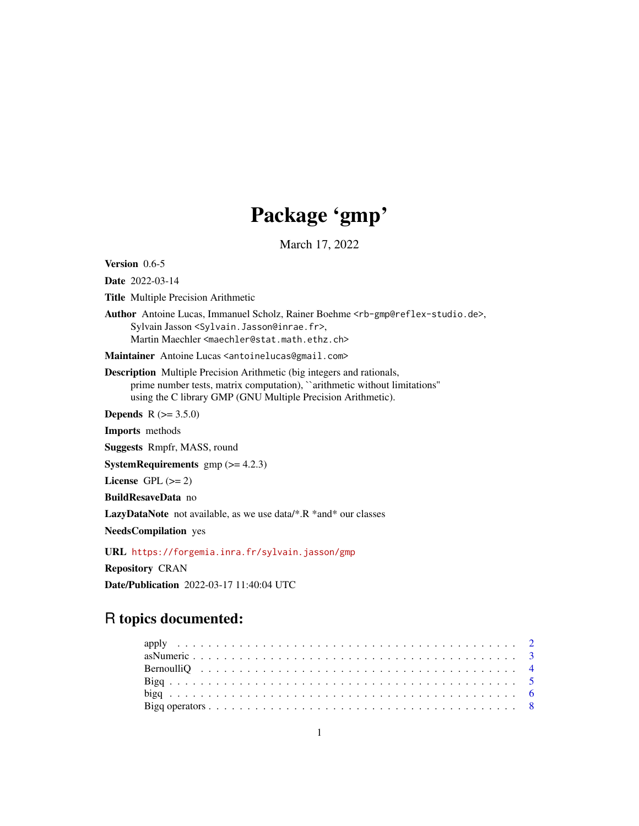# Package 'gmp'

March 17, 2022

<span id="page-0-0"></span>Version 0.6-5

Date 2022-03-14

Title Multiple Precision Arithmetic

Author Antoine Lucas, Immanuel Scholz, Rainer Boehme <rb-gmp@reflex-studio.de>, Sylvain Jasson <Sylvain.Jasson@inrae.fr>, Martin Maechler <maechler@stat.math.ethz.ch>

Maintainer Antoine Lucas <antoinelucas@gmail.com>

Description Multiple Precision Arithmetic (big integers and rationals, prime number tests, matrix computation), "arithmetic without limitations" using the C library GMP (GNU Multiple Precision Arithmetic).

**Depends**  $R (= 3.5.0)$ 

Imports methods

Suggests Rmpfr, MASS, round

**SystemRequirements**  $gmp (= 4.2.3)$ 

License GPL  $(>= 2)$ 

BuildResaveData no

LazyDataNote not available, as we use data/\*.R \*and\* our classes

NeedsCompilation yes

URL <https://forgemia.inra.fr/sylvain.jasson/gmp>

Repository CRAN

Date/Publication 2022-03-17 11:40:04 UTC

# R topics documented: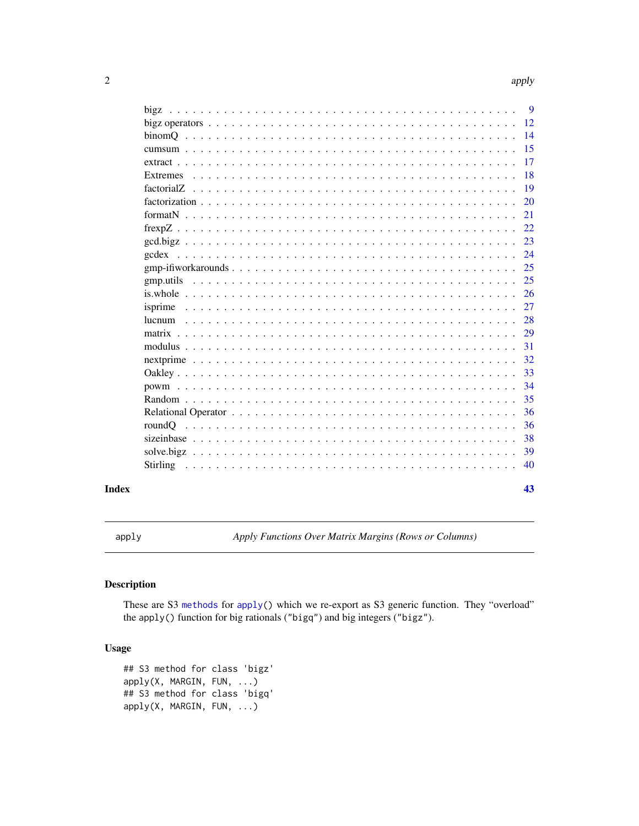<span id="page-1-0"></span>

|       |             |  |  |  |  |  |  |  |  |  |  |  |  |  |  |  |  | - 9             |  |
|-------|-------------|--|--|--|--|--|--|--|--|--|--|--|--|--|--|--|--|-----------------|--|
|       |             |  |  |  |  |  |  |  |  |  |  |  |  |  |  |  |  | -12             |  |
|       |             |  |  |  |  |  |  |  |  |  |  |  |  |  |  |  |  | $\overline{14}$ |  |
|       |             |  |  |  |  |  |  |  |  |  |  |  |  |  |  |  |  | -15             |  |
|       |             |  |  |  |  |  |  |  |  |  |  |  |  |  |  |  |  | <b>17</b>       |  |
|       | Extremes    |  |  |  |  |  |  |  |  |  |  |  |  |  |  |  |  | <b>18</b>       |  |
|       |             |  |  |  |  |  |  |  |  |  |  |  |  |  |  |  |  | <b>19</b>       |  |
|       |             |  |  |  |  |  |  |  |  |  |  |  |  |  |  |  |  | <b>20</b>       |  |
|       |             |  |  |  |  |  |  |  |  |  |  |  |  |  |  |  |  | 21              |  |
|       |             |  |  |  |  |  |  |  |  |  |  |  |  |  |  |  |  | 22              |  |
|       |             |  |  |  |  |  |  |  |  |  |  |  |  |  |  |  |  | 23              |  |
|       |             |  |  |  |  |  |  |  |  |  |  |  |  |  |  |  |  | 24              |  |
|       |             |  |  |  |  |  |  |  |  |  |  |  |  |  |  |  |  | 25              |  |
|       |             |  |  |  |  |  |  |  |  |  |  |  |  |  |  |  |  | 25              |  |
|       | $is. whole$ |  |  |  |  |  |  |  |  |  |  |  |  |  |  |  |  | <sup>26</sup>   |  |
|       |             |  |  |  |  |  |  |  |  |  |  |  |  |  |  |  |  | 27              |  |
|       |             |  |  |  |  |  |  |  |  |  |  |  |  |  |  |  |  | 28              |  |
|       |             |  |  |  |  |  |  |  |  |  |  |  |  |  |  |  |  | <sup>29</sup>   |  |
|       |             |  |  |  |  |  |  |  |  |  |  |  |  |  |  |  |  | 31              |  |
|       |             |  |  |  |  |  |  |  |  |  |  |  |  |  |  |  |  | 32              |  |
|       |             |  |  |  |  |  |  |  |  |  |  |  |  |  |  |  |  | 33              |  |
|       |             |  |  |  |  |  |  |  |  |  |  |  |  |  |  |  |  | 34              |  |
|       |             |  |  |  |  |  |  |  |  |  |  |  |  |  |  |  |  | 35              |  |
|       |             |  |  |  |  |  |  |  |  |  |  |  |  |  |  |  |  | 36              |  |
|       |             |  |  |  |  |  |  |  |  |  |  |  |  |  |  |  |  | 36              |  |
|       |             |  |  |  |  |  |  |  |  |  |  |  |  |  |  |  |  | 38              |  |
|       |             |  |  |  |  |  |  |  |  |  |  |  |  |  |  |  |  | 39              |  |
|       |             |  |  |  |  |  |  |  |  |  |  |  |  |  |  |  |  | 40              |  |
| Index |             |  |  |  |  |  |  |  |  |  |  |  |  |  |  |  |  | 43              |  |

<span id="page-1-1"></span>apply *Apply Functions Over Matrix Margins (Rows or Columns)*

# Description

These are S3 [methods](#page-0-0) for [apply\(](#page-1-1)) which we re-export as S3 generic function. They "overload" the apply() function for big rationals ("bigq") and big integers ("bigz").

# Usage

```
## S3 method for class 'bigz'
apply(X, MARGIN, FUN, ...)
## S3 method for class 'bigq'
apply(X, MARGIN, FUN, ...)
```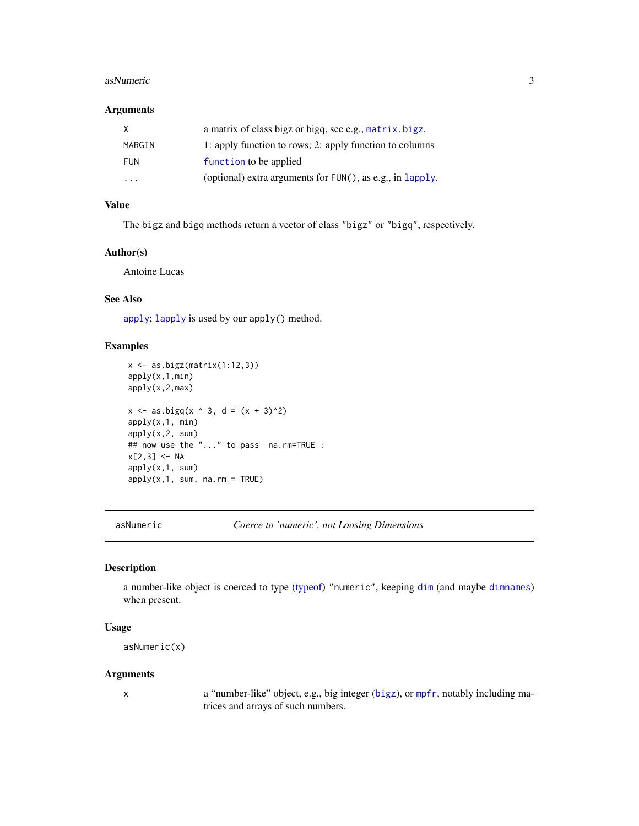#### <span id="page-2-0"></span>asNumeric 3

# Arguments

| X          | a matrix of class bigz or bigq, see e.g., matrix.bigz.          |
|------------|-----------------------------------------------------------------|
| MARGIN     | 1: apply function to rows; 2: apply function to columns         |
| <b>FUN</b> | function to be applied                                          |
| $\cdot$    | (optional) extra arguments for $FUN()$ , as e.g., in $lapply$ . |

# Value

The bigz and bigq methods return a vector of class "bigz" or "bigq", respectively.

# Author(s)

Antoine Lucas

# See Also

[apply](#page-1-1); [lapply](#page-0-0) is used by our apply() method.

#### Examples

```
x <- as.bigz(matrix(1:12,3))
apply(x,1,min)
apply(x,2,max)
x \le - as.bigq(x \land 3, d = (x + 3)^2)
apply(x,1, min)
apply(x,2, sum)
## now use the "..." to pass na.rm=TRUE :
x[2,3] <- NA
apply(x,1, sum)
apply(x,1, sum, na.rm = TRUE)
```
asNumeric *Coerce to 'numeric', not Loosing Dimensions*

# Description

a number-like object is coerced to type [\(typeof\)](#page-0-0) "numeric", keeping [dim](#page-0-0) (and maybe [dimnames](#page-0-0)) when present.

#### Usage

```
asNumeric(x)
```
#### Arguments

x a "number-like" object, e.g., big integer ([bigz](#page-8-1)), or [mpfr](#page-0-0), notably including matrices and arrays of such numbers.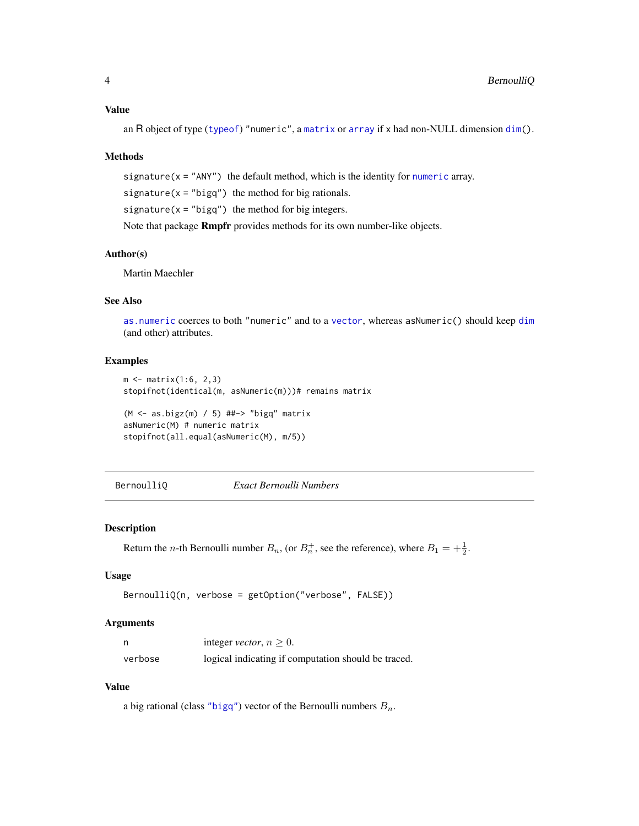<span id="page-3-0"></span>an R object of type ([typeof](#page-0-0)) "numeric", a [matrix](#page-28-2) or [array](#page-0-0) if x had non-NULL dimension [dim\(](#page-0-0)).

#### Methods

signature( $x = "ANY"$ ) the default method, which is the identity for [numeric](#page-0-0) array.

signature( $x =$ "bigq") the method for big rationals.

signature( $x =$ "bigq") the method for big integers.

Note that package Rmpfr provides methods for its own number-like objects.

# Author(s)

Martin Maechler

# See Also

[as.numeric](#page-0-0) coerces to both "numeric" and to a [vector](#page-0-0), whereas asNumeric() should keep [dim](#page-0-0) (and other) attributes.

# Examples

```
m < - matrix(1:6, 2,3)
stopifnot(identical(m, asNumeric(m)))# remains matrix
```

```
(M <- as.bigz(m) / 5) ##-> "bigq" matrix
asNumeric(M) # numeric matrix
stopifnot(all.equal(asNumeric(M), m/5))
```
BernoulliQ *Exact Bernoulli Numbers*

#### **Description**

Return the *n*-th Bernoulli number  $B_n$ , (or  $B_n^+$ , see the reference), where  $B_1 = +\frac{1}{2}$ .

#### Usage

```
BernoulliQ(n, verbose = getOption("verbose", FALSE))
```
#### Arguments

|         | integer <i>vector</i> , $n > 0$ .                   |
|---------|-----------------------------------------------------|
| verbose | logical indicating if computation should be traced. |

# Value

a big rational (class ["bigq"](#page-5-1)) vector of the Bernoulli numbers  $B_n$ .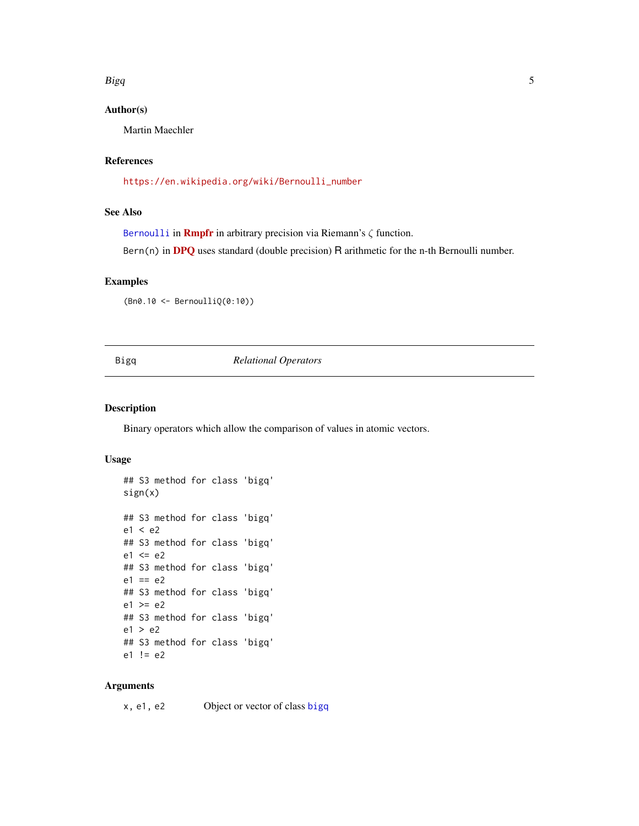#### <span id="page-4-0"></span> $Bigq$  5

# Author(s)

Martin Maechler

# References

[https://en.wikipedia.org/wiki/Bernoulli\\_number](https://en.wikipedia.org/wiki/Bernoulli_number)

# See Also

[Bernoulli](#page-0-0) in **[Rmpfr](https://CRAN.R-project.org/package=Rmpfr)** in arbitrary precision via Riemann's  $\zeta$  function.

Bern(n) in [DPQ](https://CRAN.R-project.org/package=DPQ) uses standard (double precision) R arithmetic for the n-th Bernoulli number.

# Examples

(Bn0.10 <- BernoulliQ(0:10))

# Bigq *Relational Operators*

# Description

Binary operators which allow the comparison of values in atomic vectors.

#### Usage

```
## S3 method for class 'bigq'
sign(x)
## S3 method for class 'bigq'
e1 < e2
## S3 method for class 'bigq'
e1 \leq e2## S3 method for class 'bigq'
e1 == e2## S3 method for class 'bigq'
e1 >= e2## S3 method for class 'bigq'
e1 > e2
## S3 method for class 'bigq'
e1 != e2
```
#### Arguments

x, e1, e2 Object or vector of class [bigq](#page-5-2)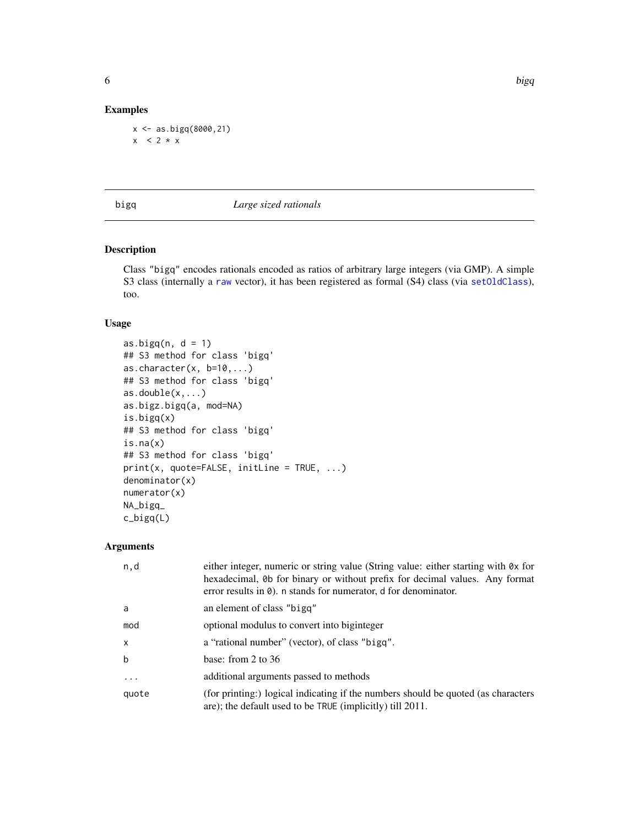# Examples

```
x <- as.bigq(8000,21)
x < 2 * x
```
#### <span id="page-5-2"></span>bigq *Large sized rationals*

# <span id="page-5-1"></span>Description

Class "bigq" encodes rationals encoded as ratios of arbitrary large integers (via GMP). A simple S3 class (internally a [raw](#page-0-0) vector), it has been registered as formal (S4) class (via [setOldClass](#page-0-0)), too.

# Usage

```
as.bigq(n, d = 1)## S3 method for class 'bigq'
as.character(x, b=10,...)## S3 method for class 'bigq'
as.double(x,...)as.bigz.bigq(a, mod=NA)
is.bigq(x)
## S3 method for class 'bigq'
is.na(x)
## S3 method for class 'bigq'
print(x, quote=FALSE, initLine = TRUE, ...)
denominator(x)
numerator(x)
NA_bigq_
c_bigq(L)
```
# Arguments

| n,d               | either integer, numeric or string value (String value: either starting with 0x for<br>hexadecimal, 0b for binary or without prefix for decimal values. Any format<br>error results in $\theta$ ). n stands for numerator, d for denominator. |
|-------------------|----------------------------------------------------------------------------------------------------------------------------------------------------------------------------------------------------------------------------------------------|
| a                 | an element of class "bigg"                                                                                                                                                                                                                   |
| mod               | optional modulus to convert into biginteger                                                                                                                                                                                                  |
| X                 | a "rational number" (vector), of class "bigq".                                                                                                                                                                                               |
| $\mathbf b$       | base: from 2 to $36$                                                                                                                                                                                                                         |
| $\cdot\cdot\cdot$ | additional arguments passed to methods                                                                                                                                                                                                       |
| quote             | (for printing:) logical indicating if the numbers should be quoted (as characters<br>are); the default used to be TRUE (implicitly) till 2011.                                                                                               |

<span id="page-5-0"></span>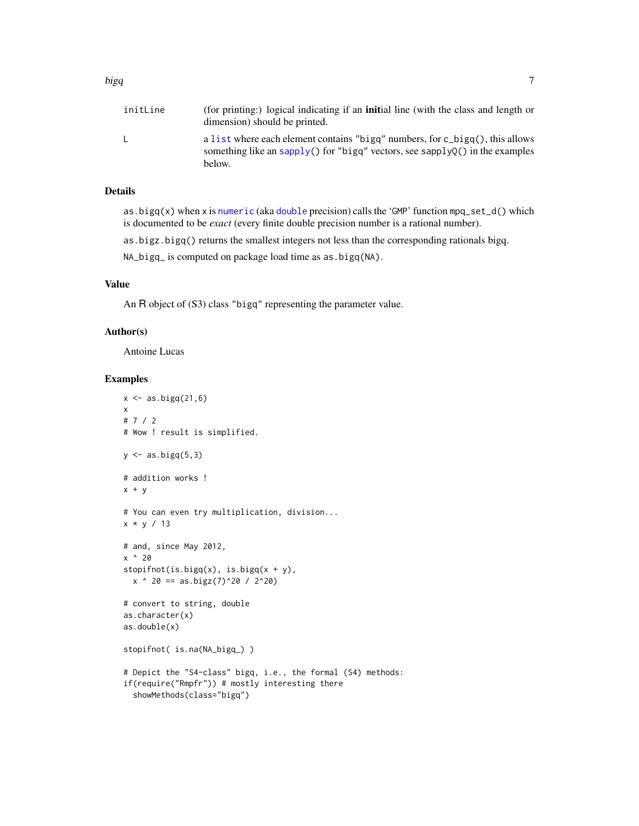<span id="page-6-0"></span>

| initLine | (for printing:) logical indicating if an <b>initial</b> line (with the class and length or<br>dimension) should be printed.                                            |
|----------|------------------------------------------------------------------------------------------------------------------------------------------------------------------------|
|          | a list where each element contains "bigg" numbers, for c_bigg(), this allows<br>something like an sapply() for "bigq" vectors, see sapplyQ() in the examples<br>below. |

# Details

as.bigq(x) when x is [numeric](#page-0-0) (aka [double](#page-0-0) precision) calls the 'GMP' function mpq\_set\_d() which is documented to be *exact* (every finite double precision number is a rational number).

as.bigz.bigq() returns the smallest integers not less than the corresponding rationals bigq.

NA\_bigq\_ is computed on package load time as as.bigq(NA).

### Value

An R object of (S3) class "bigq" representing the parameter value.

#### Author(s)

Antoine Lucas

#### Examples

```
x \leftarrow as.bigq(21,6)x
# 7 / 2
# Wow ! result is simplified.
y \leftarrow as.bigq(5,3)# addition works !
x + y# You can even try multiplication, division...
x * y / 13
# and, since May 2012,
x ^ 20
stopifnot(is.bigq(x), is.bigq(x + y),
  x \text{ ' } 20 == as.bigz(7)^20 / 20# convert to string, double
as.character(x)
as.double(x)
stopifnot( is.na(NA_bigq_) )
# Depict the "S4-class" bigq, i.e., the formal (S4) methods:
if(require("Rmpfr")) # mostly interesting there
  showMethods(class="bigq")
```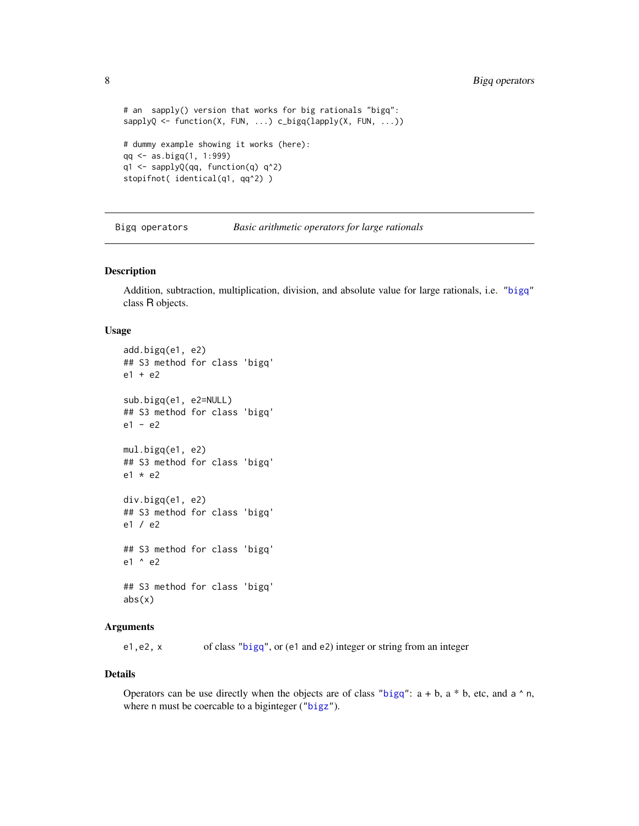```
# an sapply() version that works for big rationals "bigq":
sapplyQ <- function(X, FUN, ...) c_bigq(lapply(X, FUN, ...))
# dummy example showing it works (here):
qq <- as.bigq(1, 1:999)
q1 <- sapplyQ(qq, function(q) q^2)
stopifnot( identical(q1, qq^2) )
```
Bigq operators *Basic arithmetic operators for large rationals*

#### Description

Addition, subtraction, multiplication, division, and absolute value for large rationals, i.e. ["bigq"](#page-5-2) class R objects.

#### Usage

```
add.bigq(e1, e2)
## S3 method for class 'bigq'
e1 + e2
sub.bigq(e1, e2=NULL)
## S3 method for class 'bigq'
e1 - e2
mul.bigq(e1, e2)
## S3 method for class 'bigq'
e1 * e2
div.bigq(e1, e2)
## S3 method for class 'bigq'
e1 / e2
## S3 method for class 'bigq'
e1 ^ e2
## S3 method for class 'bigq'
abs(x)
```
# Arguments

e1,e2, x of class ["bigq"](#page-5-2), or (e1 and e2) integer or string from an integer

#### Details

Operators can be use directly when the objects are of class ["bigq"](#page-5-2):  $a + b$ ,  $a * b$ , etc, and  $a \land n$ , where n must be coercable to a biginteger (["bigz"](#page-8-1)).

<span id="page-7-0"></span>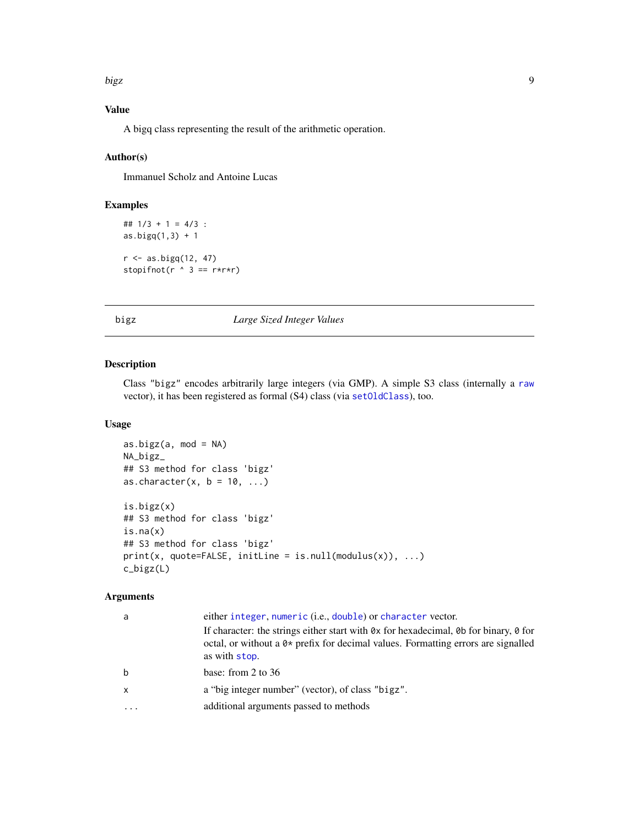<span id="page-8-0"></span>bigz the contract of the contract of the contract of the contract of the contract of the contract of the contract of the contract of the contract of the contract of the contract of the contract of the contract of the contr

# Value

A bigq class representing the result of the arithmetic operation.

### Author(s)

Immanuel Scholz and Antoine Lucas

# Examples

```
## 1/3 + 1 = 4/3 :
as.bigq(1,3) + 1
r \leftarrow as.bigq(12, 47)
stopifnot(r \land 3 == r*r*r)
```
#### <span id="page-8-1"></span>bigz *Large Sized Integer Values*

# Description

Class "bigz" encodes arbitrarily large integers (via GMP). A simple S3 class (internally a [raw](#page-0-0) vector), it has been registered as formal (S4) class (via [setOldClass](#page-0-0)), too.

# Usage

```
as.bigz(a, mod = NA)
NA_bigz_
## S3 method for class 'bigz'
as.character(x, b = 10, ...)
is.bigz(x)
## S3 method for class 'bigz'
is.na(x)
## S3 method for class 'bigz'
print(x, quote=FALSE, initLine = is null(modulus(x)), ...)c_bigz(L)
```
# Arguments

| a         | either integer, numeric (i.e., double) or character vector.                                                                                                                                  |
|-----------|----------------------------------------------------------------------------------------------------------------------------------------------------------------------------------------------|
|           | If character: the strings either start with 0x for hexadecimal, 0b for binary, 0 for<br>octal, or without a $0*$ prefix for decimal values. Formatting errors are signalled<br>as with stop. |
| b         | base: from 2 to $36$                                                                                                                                                                         |
| x         | a "big integer number" (vector), of class "bigz".                                                                                                                                            |
| $\ddotsc$ | additional arguments passed to methods                                                                                                                                                       |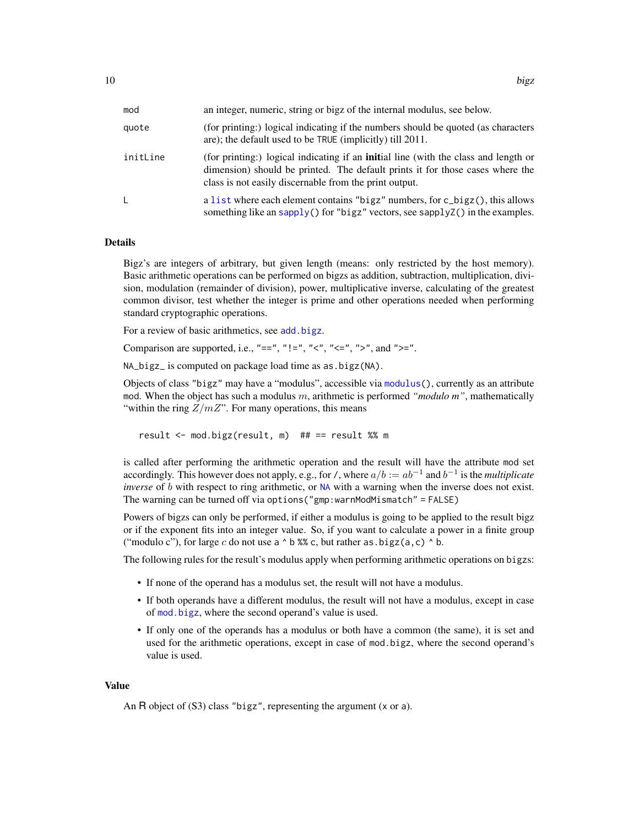<span id="page-9-0"></span>

| mod      | an integer, numeric, string or bigz of the internal modulus, see below.                                                                                                                                                               |
|----------|---------------------------------------------------------------------------------------------------------------------------------------------------------------------------------------------------------------------------------------|
| quote    | (for printing:) logical indicating if the numbers should be quoted (as characters<br>are); the default used to be TRUE (implicitly) till 2011.                                                                                        |
| initLine | (for printing:) logical indicating if an <b>initial</b> line (with the class and length or<br>dimension) should be printed. The default prints it for those cases where the<br>class is not easily discernable from the print output. |
| L        | a list where each element contains "bigz" numbers, for c_bigz(), this allows<br>something like an sapply() for "bigz" vectors, see sapplyZ() in the examples.                                                                         |

#### Details

Bigz's are integers of arbitrary, but given length (means: only restricted by the host memory). Basic arithmetic operations can be performed on bigzs as addition, subtraction, multiplication, division, modulation (remainder of division), power, multiplicative inverse, calculating of the greatest common divisor, test whether the integer is prime and other operations needed when performing standard cryptographic operations.

For a review of basic arithmetics, see [add.bigz](#page-11-1).

Comparison are supported, i.e., "==", "!=", "<", "<=", ">", and ">=".

NA\_bigz\_ is computed on package load time as as.bigz(NA).

Objects of class "bigz" may have a "modulus", accessible via [modulus\(](#page-30-1)), currently as an attribute mod. When the object has such a modulus m, arithmetic is performed *"modulo m"*, mathematically "within the ring  $Z/mZ$ ". For many operations, this means

result <- mod.bigz(result, m) ## == result %% m

is called after performing the arithmetic operation and the result will have the attribute mod set accordingly. This however does not apply, e.g., for /, where  $a/b := ab^{-1}$  and  $b^{-1}$  is the *multiplicate inverse* of b with respect to ring arithmetic, or [NA](#page-0-0) with a warning when the inverse does not exist. The warning can be turned off via options("gmp:warnModMismatch" = FALSE)

Powers of bigzs can only be performed, if either a modulus is going to be applied to the result bigz or if the exponent fits into an integer value. So, if you want to calculate a power in a finite group ("modulo c"), for large c do not use a  $\land$  b %% c, but rather as  $\text{bigz}(a,c) \land b$ .

The following rules for the result's modulus apply when performing arithmetic operations on bigzs:

- If none of the operand has a modulus set, the result will not have a modulus.
- If both operands have a different modulus, the result will not have a modulus, except in case of [mod.bigz](#page-11-1), where the second operand's value is used.
- If only one of the operands has a modulus or both have a common (the same), it is set and used for the arithmetic operations, except in case of mod.bigz, where the second operand's value is used.

#### Value

An R object of (S3) class "bigz", representing the argument (x or a).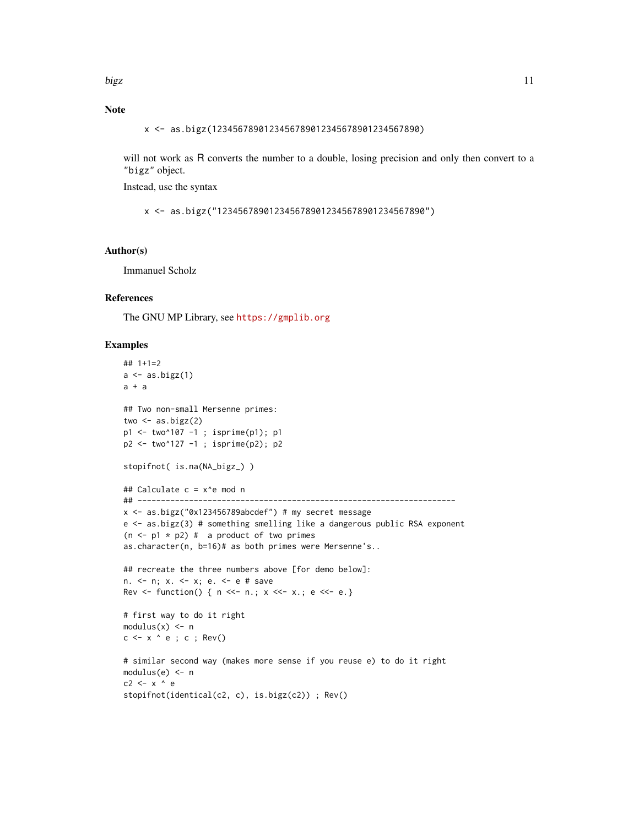# Note

x <- as.bigz(1234567890123456789012345678901234567890)

will not work as R converts the number to a double, losing precision and only then convert to a "bigz" object.

Instead, use the syntax

x <- as.bigz("1234567890123456789012345678901234567890")

#### Author(s)

Immanuel Scholz

# References

The GNU MP Library, see <https://gmplib.org>

# Examples

```
## 1+1=2
a \leftarrow as.bigz(1)a + a## Two non-small Mersenne primes:
two \leq - as.bigz(2)
p1 <- two^107 -1 ; isprime(p1); p1
p2 <- two^127 -1 ; isprime(p2); p2
stopifnot( is.na(NA_bigz_) )
## Calculate c = x^e mod n
## --------------------------------------------------------------------
x <- as.bigz("0x123456789abcdef") # my secret message
e <- as.bigz(3) # something smelling like a dangerous public RSA exponent
(n \leq p1 \times p2) # a product of two primes
as.character(n, b=16)# as both primes were Mersenne's..
## recreate the three numbers above [for demo below]:
n. <- n; x. <- x; e. <- e # save
Rev <- function() { n \ll - n; x \ll - x; e \ll - e.}
# first way to do it right
modulus(x) < -nc \leq x \land e; c; Rev()
# similar second way (makes more sense if you reuse e) to do it right
module(e) < nc2 <- x ^ e
stopifnot(identical(c2, c), is.bigz(c2)) ; Rev()
```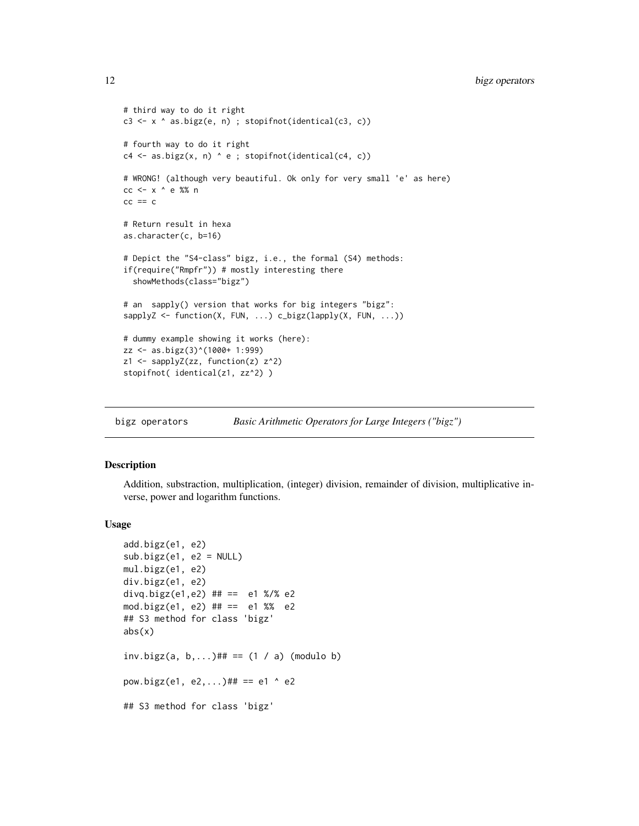```
# third way to do it right
c3 <- x ^ as.bigz(e, n) ; stopifnot(identical(c3, c))
# fourth way to do it right
c4 \leq -as.bigz(x, n) \land e; stopifnot(identical(c4, c))
# WRONG! (although very beautiful. Ok only for very small 'e' as here)
cc <- x ^ e %% n
cc == c# Return result in hexa
as.character(c, b=16)
# Depict the "S4-class" bigz, i.e., the formal (S4) methods:
if(require("Rmpfr")) # mostly interesting there
  showMethods(class="bigz")
# an sapply() version that works for big integers "bigz":
sapplyZ <- function(X, FUN, ...) c_bigz(lapply(X, FUN, ...))
# dummy example showing it works (here):
zz <- as.bigz(3)^(1000+ 1:999)
z1 <- sapplyZ(zz, function(z) z^2)
stopifnot( identical(z1, zz^2) )
```
bigz operators *Basic Arithmetic Operators for Large Integers ("bigz")*

# <span id="page-11-1"></span>**Description**

Addition, substraction, multiplication, (integer) division, remainder of division, multiplicative inverse, power and logarithm functions.

#### Usage

```
add.bigz(e1, e2)
sub.bigz(e1, e2 = NULL)mul.bigz(e1, e2)
div.bigz(e1, e2)
divq.bigz(e1,e2) ## == e1 %/% e2
mod.bigz(e1, e2) ## == e1 %% e2
## S3 method for class 'bigz'
abs(x)inv.bigz(a, b,...)## == (1 / a) (modulo b)
pow.bigz(e1, e2,...)## == e1 \land e2
## S3 method for class 'bigz'
```
<span id="page-11-0"></span>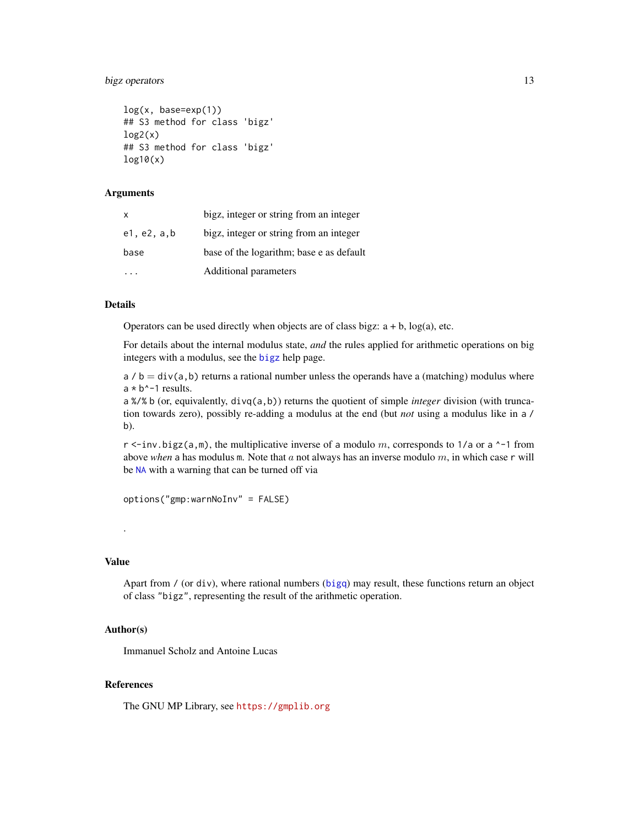# <span id="page-12-0"></span>bigz operators 13

```
log(x, base=exp(1))## S3 method for class 'bigz'
log2(x)## S3 method for class 'bigz'
log10(x)
```
#### Arguments

| x           | bigz, integer or string from an integer  |
|-------------|------------------------------------------|
| e1, e2, a,b | bigz, integer or string from an integer  |
| base        | base of the logarithm; base e as default |
|             | Additional parameters                    |

# Details

Operators can be used directly when objects are of class bigz:  $a + b$ ,  $log(a)$ , etc.

For details about the internal modulus state, *and* the rules applied for arithmetic operations on big integers with a modulus, see the [bigz](#page-8-1) help page.

 $a / b = \text{div}(a, b)$  returns a rational number unless the operands have a (matching) modulus where  $a * b^{\lambda - 1}$  results.

a %/% b (or, equivalently, divq(a,b)) returns the quotient of simple *integer* division (with truncation towards zero), possibly re-adding a modulus at the end (but *not* using a modulus like in a / b).

r  $\le$ -inv.bigz(a,m), the multiplicative inverse of a modulo m, corresponds to 1/a or a  $\sim$ -1 from above *when* a has modulus m. Note that  $a$  not always has an inverse modulo  $m$ , in which case  $r$  will be [NA](#page-0-0) with a warning that can be turned off via

options("gmp:warnNoInv" = FALSE)

# Value

.

Apart from / (or div), where rational numbers ([bigq](#page-5-2)) may result, these functions return an object of class "bigz", representing the result of the arithmetic operation.

# Author(s)

Immanuel Scholz and Antoine Lucas

#### References

The GNU MP Library, see <https://gmplib.org>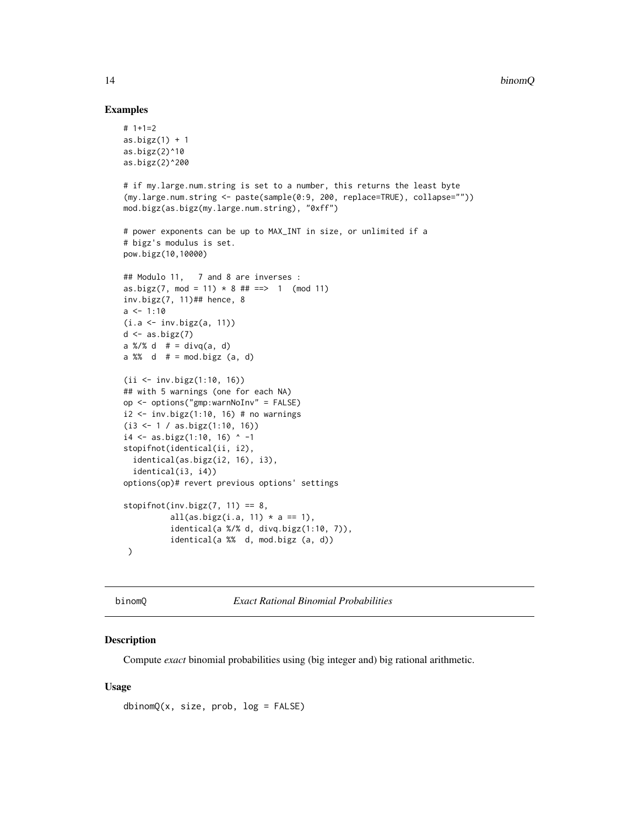#### Examples

```
# 1+1=2
as.bigz(1) + 1as.bigz(2)^10
as.bigz(2)^200
# if my.large.num.string is set to a number, this returns the least byte
(my.large.num.string <- paste(sample(0:9, 200, replace=TRUE), collapse=""))
mod.bigz(as.bigz(my.large.num.string), "0xff")
# power exponents can be up to MAX_INT in size, or unlimited if a
# bigz's modulus is set.
pow.bigz(10,10000)
## Modulo 11, 7 and 8 are inverses :
as.bigz(7, mod = 11) * 8 # # == > 1 (mod 11)
inv.bigz(7, 11)## hence, 8
a \le -1:10(i.a <- inv.bigz(a, 11))
d \leftarrow as.bigz(7)a %/% d # = \text{divq}(a, d)a %% d # = mod.bigz (a, d)
(ii <- inv.bigz(1:10, 16))
## with 5 warnings (one for each NA)
op <- options("gmp:warnNoInv" = FALSE)
i2 < -inv.bigz(1:10, 16) # no warnings
(i3 <- 1 / as.bigz(1:10, 16))
i4 \leftarrow as.bigz(1:10, 16) ^ -1
stopifnot(identical(ii, i2),
  identical(as.bigz(i2, 16), i3),
  identical(i3, i4))
options(op)# revert previous options' settings
stopifnot(inv.bigz(7, 11) == 8,
          all(as.bigz(i.a, 11) * a == 1),
          identical(a %/% d, divq.bigz(1:10, 7)),
          identical(a %% d, mod.bigz (a, d))
 )
```
binomQ *Exact Rational Binomial Probabilities*

# Description

Compute *exact* binomial probabilities using (big integer and) big rational arithmetic.

#### Usage

 $dbinomQ(x, size, prob, log = FALSE)$ 

<span id="page-13-0"></span>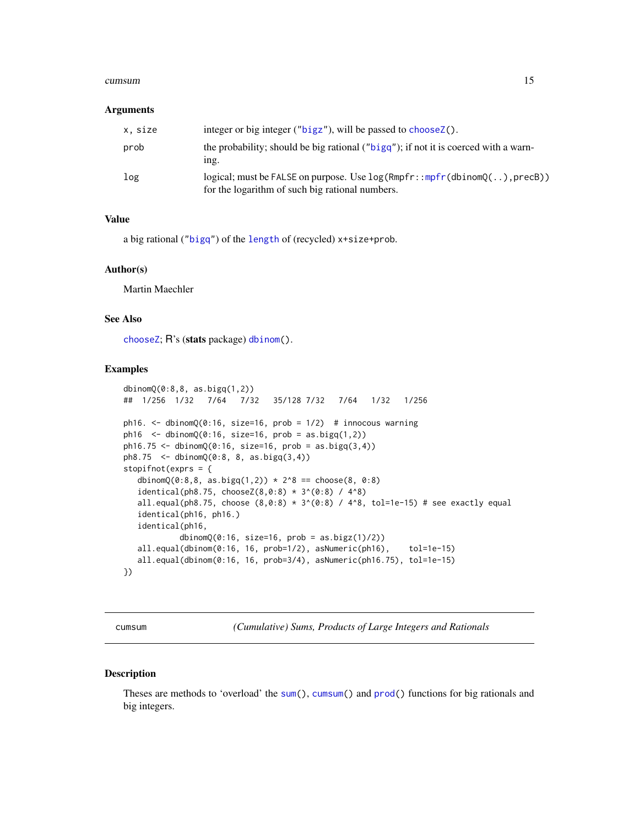#### <span id="page-14-0"></span>cumsum and the contract of the contract of the contract of the contract of the contract of the contract of the contract of the contract of the contract of the contract of the contract of the contract of the contract of the

#### **Arguments**

| x, size | integer or big integer ("bigz"), will be passed to choose Z().                                                                   |
|---------|----------------------------------------------------------------------------------------------------------------------------------|
| prob    | the probability; should be big rational ("bigg"); if not it is coerced with a warn-<br>ing.                                      |
| log     | $logical$ ; must be FALSE on purpose. Use $log(Rmpfr::mpfr(dbinom()$ , precB)<br>for the logarithm of such big rational numbers. |

#### Value

a big rational (["bigq"](#page-5-2)) of the [length](#page-0-0) of (recycled) x+size+prob.

#### Author(s)

Martin Maechler

# See Also

[chooseZ](#page-18-1); R's (stats package) [dbinom\(](#page-0-0)).

#### Examples

```
dbinomQ(0:8,8, as.bigq(1,2))
## 1/256 1/32 7/64 7/32 35/128 7/32 7/64 1/32 1/256
ph16. \le dbinomQ(0:16, size=16, prob = 1/2) # innocous warning
ph16 <- dbinomQ(0:16, size=16, prob = as.bigq(1,2))ph16.75 \leq dbinomQ(0:16, size=16, prob = as.bigq(3,4))ph8.75 <- dbinomQ(0:8, 8, as.bigq(3,4))
stopifnot(exprs = {
  dbinomQ(0:8,8, as.bigq(1,2)) * 2^8 == choose(8, 0:8)
  identical(ph8.75, chooseZ(8, 0:8) * 3^(0:8) / 4^8)all.equal(ph8.75, choose (8, 0.8) * 3^(0.8) / 4^8, tol=1e-15) # see exactly equal
  identical(ph16, ph16.)
  identical(ph16,
           dbinomQ(0:16, size=16, prob = as.bigz(1)/2))
  all.equal(dbinom(0:16, 16, prob=1/2), asNumeric(ph16), tol=1e-15)
  all.equal(dbinom(0:16, 16, prob=3/4), asNumeric(ph16.75), tol=1e-15)
})
```
<span id="page-14-1"></span>

cumsum *(Cumulative) Sums, Products of Large Integers and Rationals*

#### Description

Theses are methods to 'overload' the [sum\(](#page-0-0)), [cumsum\(](#page-14-1)) and [prod\(](#page-0-0)) functions for big rationals and big integers.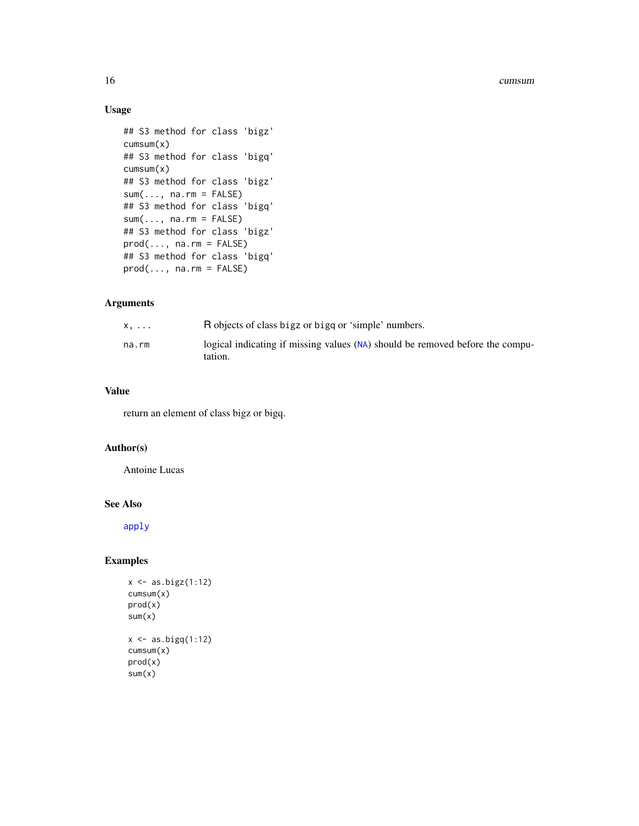#### <span id="page-15-0"></span>16 cumsum cumsum cumsum cumsum cumsum cumsum cumsum cumsum cumsum cumsum cumsum cumsum cumsum cumsum cumsum cu

# Usage

```
## S3 method for class 'bigz'
cumsum(x)
## S3 method for class 'bigq'
cumsum(x)
## S3 method for class 'bigz'
sum(..., na.rm = FALSE)## S3 method for class 'bigq'
sum(..., na.rm = FALSE)## S3 method for class 'bigz'
prod(..., na.rm = FALSE)## S3 method for class 'bigq'
prod(..., na.rm = FALSE)
```
# Arguments

| x.    | R objects of class bigz or bigg or 'simple' numbers.                                       |
|-------|--------------------------------------------------------------------------------------------|
| na.rm | logical indicating if missing values $(NA)$ should be removed before the compu-<br>tation. |

# Value

return an element of class bigz or bigq.

# Author(s)

Antoine Lucas

## See Also

[apply](#page-1-1)

# Examples

```
x \leftarrow as.bigz(1:12)cumsum(x)
prod(x)
sum(x)
x \leftarrow as.bigq(1:12)cumsum(x)
prod(x)
sum(x)
```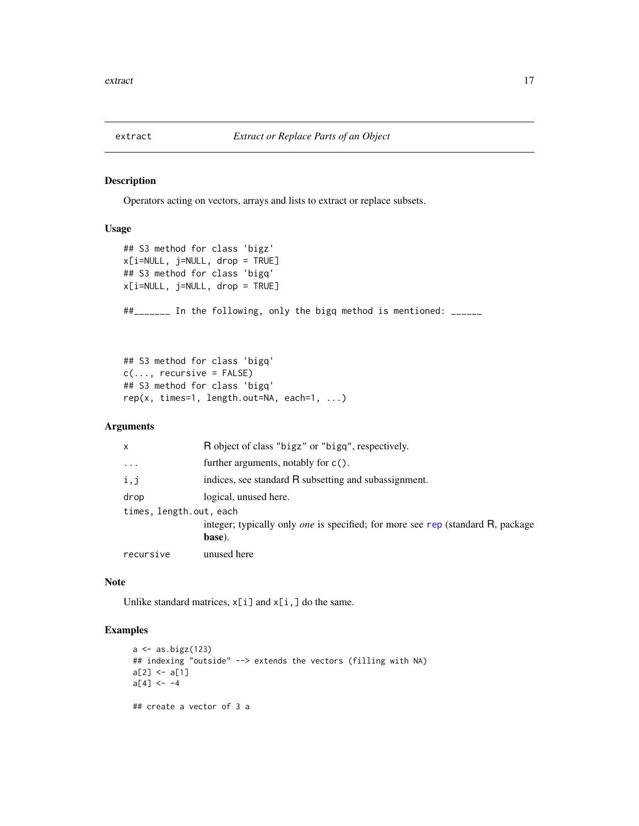<span id="page-16-0"></span>

#### Description

Operators acting on vectors, arrays and lists to extract or replace subsets.

# Usage

```
## S3 method for class 'bigz'
x[i=NULL, j=NULL, drop = TRUE]
## S3 method for class 'bigq'
x[i=NULL, j=NULL, drop = TRUE]
##_______ In the following, only the bigq method is mentioned: ______
```

```
## S3 method for class 'bigq'
c(\ldots, recursive = FALSE)
## S3 method for class 'bigq'
rep(x, times=1, length.out=NA, each=1, ...)
```
# Arguments

| x                       | R object of class "bigz" or "bigg", respectively.                                                |
|-------------------------|--------------------------------------------------------------------------------------------------|
| $\cdot$                 | further arguments, notably for $c()$ .                                                           |
| i,j                     | indices, see standard R subsetting and subassignment.                                            |
| drop                    | logical, unused here.                                                                            |
| times, length.out, each |                                                                                                  |
|                         | integer; typically only <i>one</i> is specified; for more see rep (standard R, package<br>base). |
| recursive               | unused here                                                                                      |

# Note

Unlike standard matrices,  $x[i]$  and  $x[i]$ , do the same.

# Examples

```
a \leftarrow as.bigz(123)## indexing "outside" --> extends the vectors (filling with NA)
a[2] < -a[1]a[4] <- -4
## create a vector of 3 a
```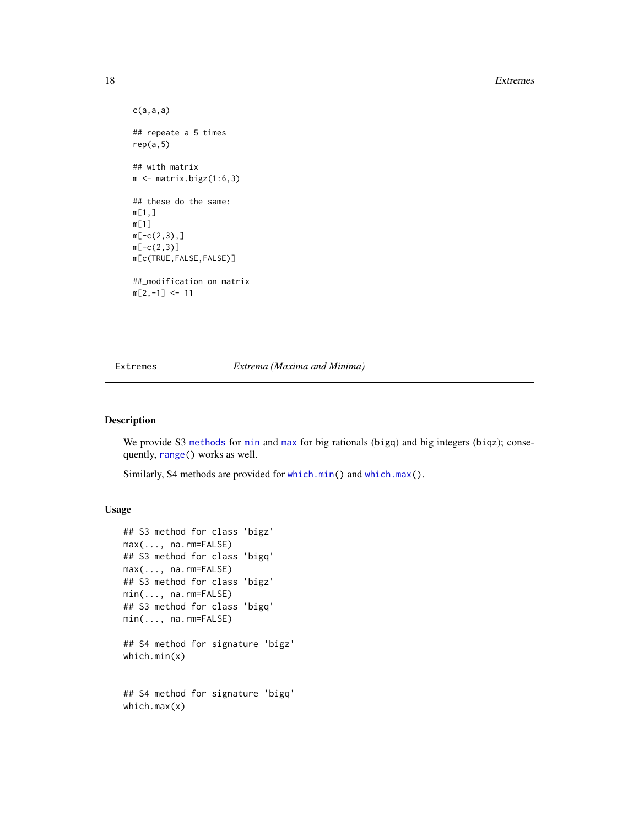#### 18 Extremes

```
c(a,a,a)## repeate a 5 times
rep(a,5)
## with matrix
m \leftarrow matrix.bigz(1:6,3)## these do the same:
m[1,]
m[1]
m[-c(2,3),]m[-c(2,3)]m[c(TRUE,FALSE,FALSE)]
##_modification on matrix
m[2,-1] <- 11
```
Extremes *Extrema (Maxima and Minima)*

#### Description

We provide S3 [methods](#page-0-0) for [min](#page-0-0) and [max](#page-0-0) for big rationals (bigq) and big integers (biqz); consequently, [range\(](#page-0-0)) works as well.

Similarly, S4 methods are provided for [which.min\(](#page-0-0)) and [which.max\(](#page-0-0)).

# Usage

```
## S3 method for class 'bigz'
max(..., na.rm=FALSE)
## S3 method for class 'bigq'
max(..., na.rm=FALSE)
## S3 method for class 'bigz'
min(..., na.rm=FALSE)
## S3 method for class 'bigq'
min(..., na.rm=FALSE)
## S4 method for signature 'bigz'
which.min(x)
## S4 method for signature 'bigq'
which.max(x)
```
<span id="page-17-0"></span>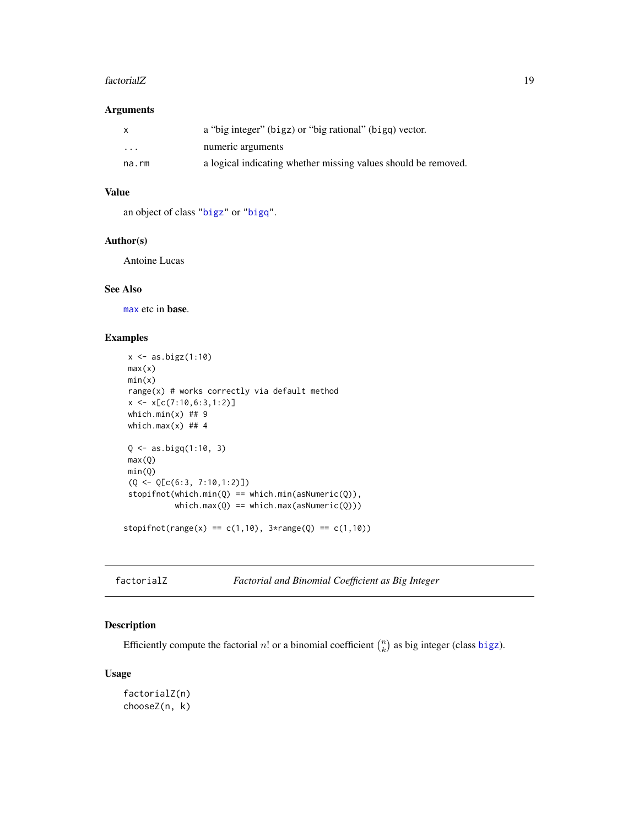#### <span id="page-18-0"></span>factorialZ 19

#### Arguments

| X        | a "big integer" (bigz) or "big rational" (bigq) vector.        |
|----------|----------------------------------------------------------------|
| $\cdots$ | numeric arguments                                              |
| na.rm    | a logical indicating whether missing values should be removed. |

# Value

an object of class ["bigz"](#page-8-1) or ["bigq"](#page-5-2).

# Author(s)

Antoine Lucas

#### See Also

[max](#page-0-0) etc in base.

# Examples

```
x \leftarrow as.bigz(1:10)max(x)min(x)range(x) # works correctly via default method
x \leftarrow x[c(7:10, 6:3, 1:2)]which.min(x) ## 9
which.max(x) ## 4
Q \le - as.bigq(1:10, 3)
max(Q)
min(Q)
(Q \leq Q[C(6:3, 7:10,1:2)])stopifnot(which.min(Q) == which.min(asNumeric(Q)),
           which.max(Q) == which.max(asNumberic(Q)))stopifnot(range(x) == c(1,10), 3*range(Q) == c(1,10))
```
factorialZ *Factorial and Binomial Coefficient as Big Integer*

# <span id="page-18-1"></span>Description

Efficiently compute the factorial n! or a binomial coefficient  $\binom{n}{k}$  as big integer (class [bigz](#page-8-1)).

#### Usage

factorialZ(n) chooseZ(n, k)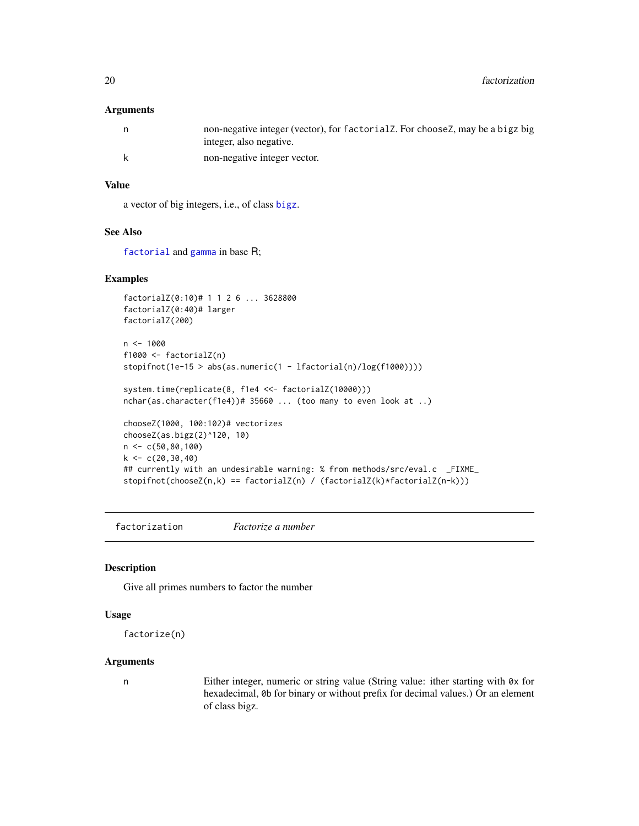#### <span id="page-19-0"></span>**Arguments**

| n   | non-negative integer (vector), for factorial Z. For choose Z, may be a bigz big<br>integer, also negative. |
|-----|------------------------------------------------------------------------------------------------------------|
| - k | non-negative integer vector.                                                                               |

# Value

a vector of big integers, i.e., of class [bigz](#page-8-1).

### See Also

[factorial](#page-0-0) and [gamma](#page-0-0) in base R;

#### Examples

```
factorialZ(0:10)# 1 1 2 6 ... 3628800
factorialZ(0:40)# larger
factorialZ(200)
n <- 1000
f1000 <- factorialZ(n)
stopifnot(1e-15 > abs(as.numeric(1 - lfactorial(n)/log(f1000))))
system.time(replicate(8, f1e4 <<- factorialZ(10000)))
nchar(as.character(f1e4))# 35660 ... (too many to even look at ..)
chooseZ(1000, 100:102)# vectorizes
chooseZ(as.bigz(2)^120, 10)
n <- c(50,80,100)
k < -c(20, 30, 40)## currently with an undesirable warning: % from methods/src/eval.c _FIXME_
stopifnot(chooseZ(n,k) == factorialZ(n) / (factorialZ(k)*factorialZ(n-k)))
```
factorization *Factorize a number*

# <span id="page-19-1"></span>Description

Give all primes numbers to factor the number

#### Usage

```
factorize(n)
```
#### Arguments

n Either integer, numeric or string value (String value: ither starting with 0x for hexadecimal, 0b for binary or without prefix for decimal values.) Or an element of class bigz.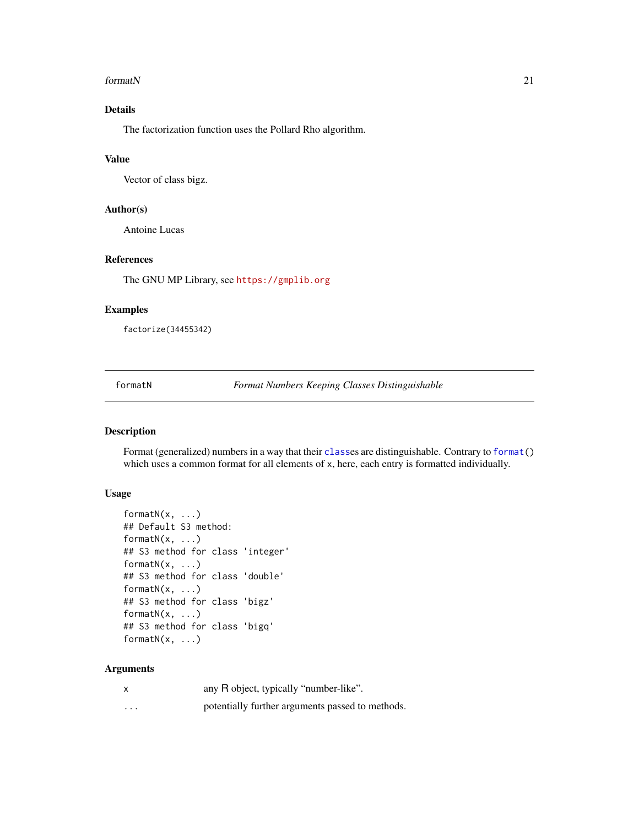#### <span id="page-20-0"></span>formatN 21

# Details

The factorization function uses the Pollard Rho algorithm.

#### Value

Vector of class bigz.

#### Author(s)

Antoine Lucas

# References

The GNU MP Library, see <https://gmplib.org>

# Examples

factorize(34455342)

formatN *Format Numbers Keeping Classes Distinguishable*

# Description

Format (generalized) numbers in a way that their [class](#page-0-0)es are distinguishable. Contrary to [format\(](#page-0-0)) which uses a common format for all elements of x, here, each entry is formatted individually.

# Usage

```
formatN(x, ...)## Default S3 method:
formatN(x, \ldots)## S3 method for class 'integer'
formatN(x, \ldots)## S3 method for class 'double'
formatN(x, \ldots)## S3 method for class 'bigz'
formatN(x, ...)
## S3 method for class 'bigq'
formatN(x, \ldots)
```
#### Arguments

|   | any R object, typically "number-like".           |
|---|--------------------------------------------------|
| . | potentially further arguments passed to methods. |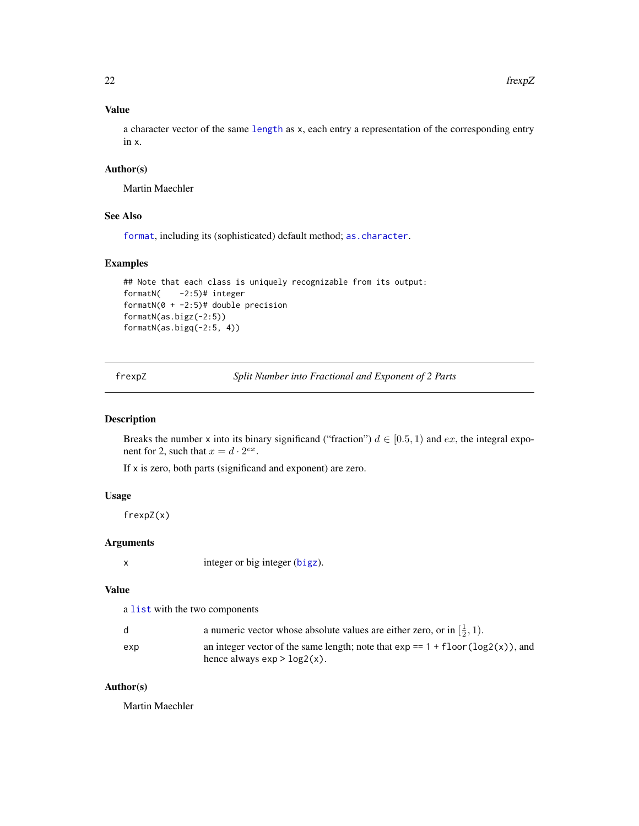# Value

a character vector of the same [length](#page-0-0) as x, each entry a representation of the corresponding entry in x.

# Author(s)

Martin Maechler

# See Also

[format](#page-0-0), including its (sophisticated) default method; [as.character](#page-0-0).

# Examples

```
## Note that each class is uniquely recognizable from its output:
formatN( -2:5)# integer
formatN(0 + -2:5)# double precision
formatN(as.bigz(-2:5))
formatN(as.bigq(-2:5, 4))
```
frexpZ *Split Number into Fractional and Exponent of 2 Parts*

# Description

Breaks the number x into its binary significand ("fraction")  $d \in [0.5, 1)$  and ex, the integral exponent for 2, such that  $x = d \cdot 2^{ex}$ .

If x is zero, both parts (significand and exponent) are zero.

#### Usage

frexpZ(x)

# Arguments

x integer or big integer ([bigz](#page-8-1)).

# Value

a [list](#page-0-0) with the two components

| d   | a numeric vector whose absolute values are either zero, or in $\left[\frac{1}{2}, 1\right)$ .                                       |
|-----|-------------------------------------------------------------------------------------------------------------------------------------|
| exp | an integer vector of the same length; note that $\exp == 1 + \text{floor}(\log 2(x))$ , and<br>hence always $\exp$ > $\log(2(x))$ . |

# Author(s)

Martin Maechler

<span id="page-21-0"></span>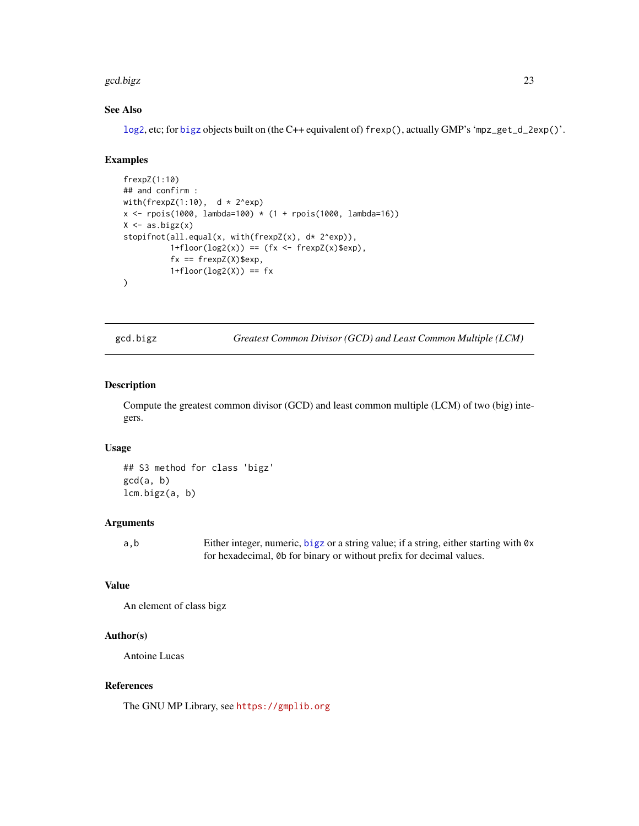#### <span id="page-22-0"></span>gcd.bigz 23

# See Also

[log2](#page-0-0), etc; for [bigz](#page-8-1) objects built on (the C++ equivalent of) frexp(), actually GMP's 'mpz\_get\_d\_2exp()'.

# Examples

```
frexpZ(1:10)
## and confirm :
with(frexpZ(1:10), d * 2^exp)
x <- rpois(1000, lambda=100) * (1 + rpois(1000, lambda=16))
X \leftarrow as.bigz(x)stopifnot(all.equal(x, with(frexpZ(x), d* 2^exp)),
          1+floor(log2(x)) = (fx < -frevz(x)$exp),
          fx == frexpZ(X)$exp,
          1+floor(log2(X)) == fx)
```
<span id="page-22-1"></span>gcd.bigz *Greatest Common Divisor (GCD) and Least Common Multiple (LCM)*

# Description

Compute the greatest common divisor (GCD) and least common multiple (LCM) of two (big) integers.

#### Usage

## S3 method for class 'bigz' gcd(a, b) lcm.bigz(a, b)

#### Arguments

a,b Either integer, numeric, [bigz](#page-8-1) or a string value; if a string, either starting with 0x for hexadecimal, 0b for binary or without prefix for decimal values.

# Value

An element of class bigz

# Author(s)

Antoine Lucas

# References

The GNU MP Library, see <https://gmplib.org>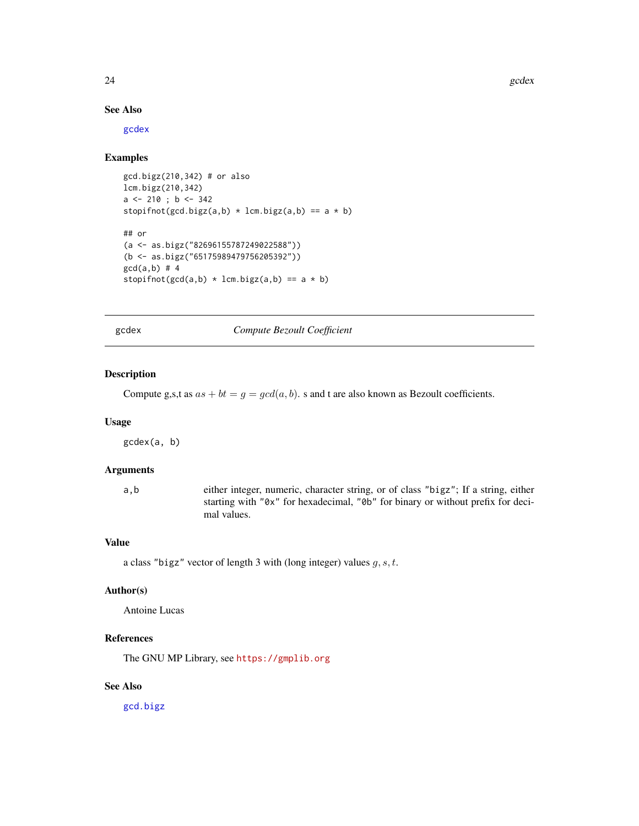24 gcdex and the set of the set of the set of the set of the set of the set of the set of the set of the set of the set of the set of the set of the set of the set of the set of the set of the set of the set of the set of

# See Also

[gcdex](#page-23-1)

# Examples

```
gcd.bigz(210,342) # or also
lcm.bigz(210,342)
a <- 210 ; b <- 342
stopifnot(gcd.bigz(a,b) * lcm.bigz(a,b) == a * b)
## or
(a <- as.bigz("82696155787249022588"))
(b <- as.bigz("65175989479756205392"))
gcd(a,b) # 4
stopifnot(gcd(a,b) * lcm.bigz(a,b) == a * b)
```
gcdex *Compute Bezoult Coefficient*

#### Description

Compute g,s,t as  $as + bt = g = gcd(a, b)$ . s and t are also known as Bezoult coefficients.

#### Usage

gcdex(a, b)

# Arguments

a,b either integer, numeric, character string, or of class "bigz"; If a string, either starting with "0x" for hexadecimal, "0b" for binary or without prefix for decimal values.

#### Value

a class "bigz" vector of length 3 with (long integer) values  $g, s, t$ .

# Author(s)

Antoine Lucas

# References

The GNU MP Library, see <https://gmplib.org>

# See Also

[gcd.bigz](#page-22-1)

<span id="page-23-0"></span>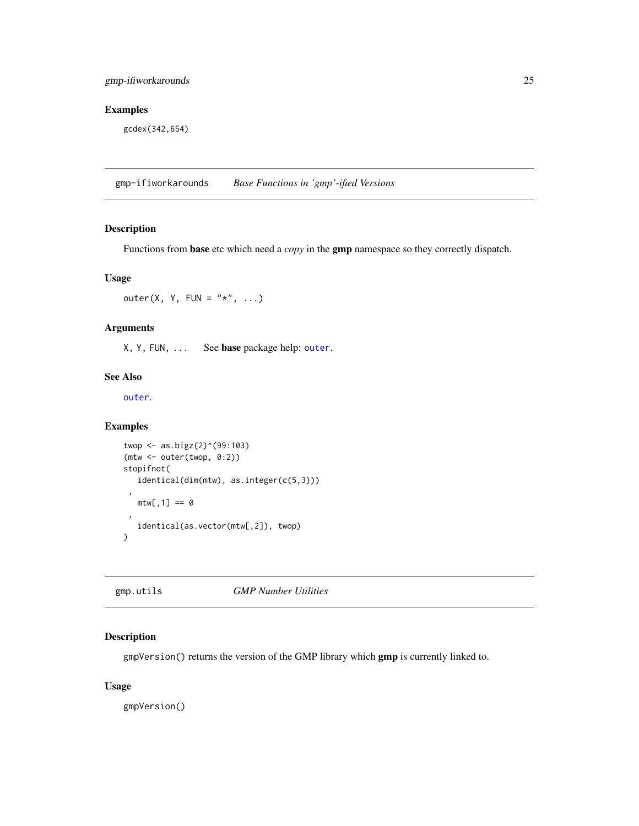# <span id="page-24-0"></span>Examples

gcdex(342,654)

gmp-ifiworkarounds *Base Functions in 'gmp'-ified Versions*

# <span id="page-24-1"></span>Description

Functions from base etc which need a *copy* in the gmp namespace so they correctly dispatch.

#### Usage

outer(X, Y, FUN =  $"*", \ldots)$ 

# Arguments

X, Y, FUN, ... See base package help: [outer](#page-24-1).

#### See Also

[outer](#page-24-1).

# Examples

```
twop <- as.bigz(2)^(99:103)
(mtw <- outer(twop, 0:2))
stopifnot(
   identical(dim(mtw), as.integer(c(5,3)))
 ,
  mtw[, 1] == 0,
  identical(as.vector(mtw[,2]), twop)
)
```
gmp.utils *GMP Number Utilities*

# Description

gmpVersion() returns the version of the GMP library which gmp is currently linked to.

#### Usage

gmpVersion()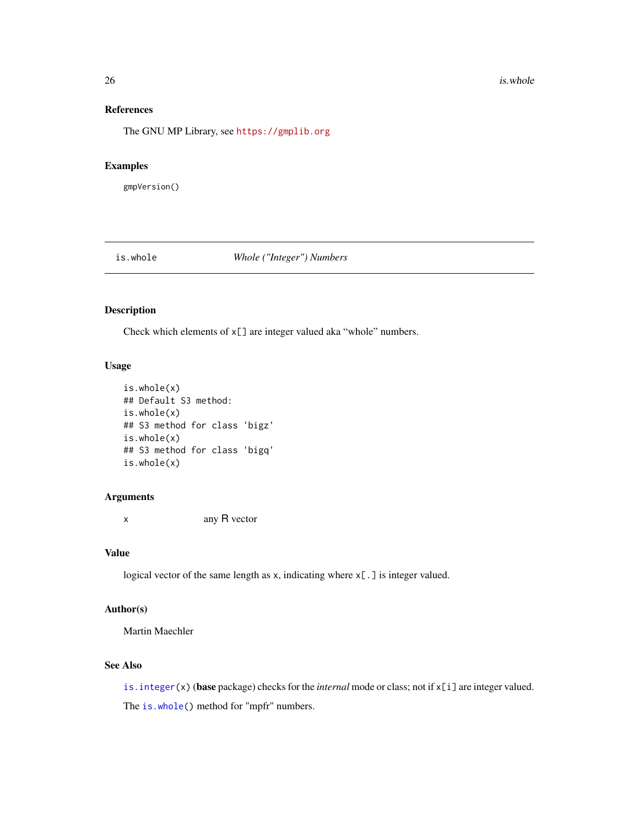# References

The GNU MP Library, see <https://gmplib.org>

# Examples

gmpVersion()

<span id="page-25-1"></span>is.whole *Whole ("Integer") Numbers*

# Description

Check which elements of x[] are integer valued aka "whole" numbers.

#### Usage

```
is.whole(x)
## Default S3 method:
is.whole(x)
## S3 method for class 'bigz'
is.whole(x)
## S3 method for class 'bigq'
is.whole(x)
```
#### Arguments

x any R vector

#### Value

logical vector of the same length as x, indicating where x[.] is integer valued.

# Author(s)

Martin Maechler

# See Also

[is.integer\(](#page-0-0)x) (base package) checks for the *internal* mode or class; not if x[i] are integer valued. The [is.whole\(](#page-25-1)) method for "mpfr" numbers.

<span id="page-25-0"></span>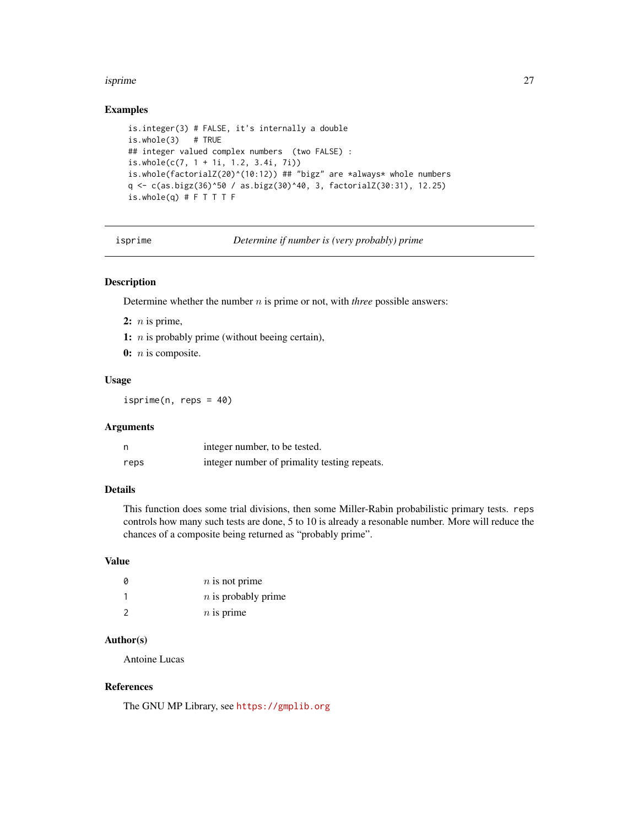#### <span id="page-26-0"></span>isprime 27

# Examples

```
is.integer(3) # FALSE, it's internally a double
is.whole(3) # TRUE
## integer valued complex numbers (two FALSE) :
is.whole(c(7, 1 + 1i, 1.2, 3.4i, 7i))
is.whole(factorialZ(20)^(10:12)) ## "bigz" are *always* whole numbers
q <- c(as.bigz(36)^50 / as.bigz(30)^40, 3, factorialZ(30:31), 12.25)
is.whole(q) # F T T T F
```
<span id="page-26-1"></span>isprime *Determine if number is (very probably) prime*

# Description

Determine whether the number n is prime or not, with *three* possible answers:

- 2:  $n$  is prime,
- 1:  $n$  is probably prime (without beeing certain),
- $0: n$  is composite.

#### Usage

 $isprime(n, reps = 40)$ 

#### Arguments

|      | integer number, to be tested.                |
|------|----------------------------------------------|
| reps | integer number of primality testing repeats. |

# Details

This function does some trial divisions, then some Miller-Rabin probabilistic primary tests. reps controls how many such tests are done, 5 to 10 is already a resonable number. More will reduce the chances of a composite being returned as "probably prime".

# Value

| 0             | $n$ is not prime      |
|---------------|-----------------------|
|               | $n$ is probably prime |
| $\mathcal{P}$ | $n$ is prime          |

# Author(s)

Antoine Lucas

# References

The GNU MP Library, see <https://gmplib.org>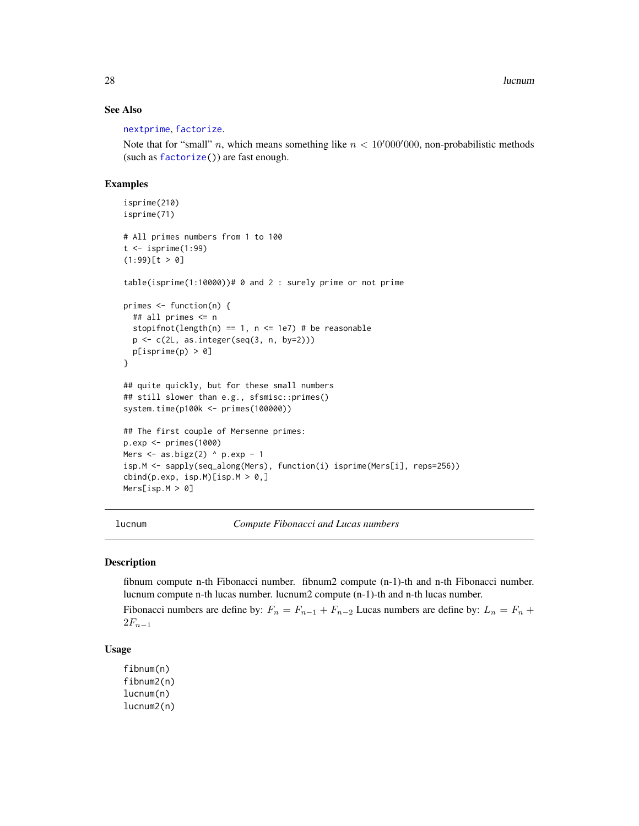28 lucnum and the contract of the contract of the contract of the contract of the contract of the contract of the contract of the contract of the contract of the contract of the contract of the contract of the contract of

#### See Also

[nextprime](#page-31-1), [factorize](#page-19-1).

Note that for "small" n, which means something like  $n < 10'000'000$ , non-probabilistic methods (such as [factorize\(](#page-19-1))) are fast enough.

# Examples

```
isprime(210)
isprime(71)
# All primes numbers from 1 to 100
t < -isprime(1:99)(1:99)[t > 0]table(isprime(1:10000))# 0 and 2 : surely prime or not prime
primes <- function(n) {
  ## all primes <= n
  stopifnot(length(n) == 1, n \le 1e7) # be reasonable
  p <- c(2L, as.integer(seq(3, n, by=2)))
  p[isprime(p) > 0]
}
## quite quickly, but for these small numbers
## still slower than e.g., sfsmisc::primes()
system.time(p100k <- primes(100000))
## The first couple of Mersenne primes:
p.exp <- primes(1000)
Mers \leq as.bigz(2) \land p.exp - 1
isp.M <- sapply(seq_along(Mers), function(i) isprime(Mers[i], reps=256))
cbind(p. exp, isp.M)[isp.M > 0, ]Mers[isp.M > 0]
```
lucnum *Compute Fibonacci and Lucas numbers*

# **Description**

fibnum compute n-th Fibonacci number. fibnum2 compute (n-1)-th and n-th Fibonacci number. lucnum compute n-th lucas number. lucnum2 compute (n-1)-th and n-th lucas number.

Fibonacci numbers are define by:  $F_n = F_{n-1} + F_{n-2}$  Lucas numbers are define by:  $L_n = F_n +$  $2F_{n-1}$ 

#### Usage

fibnum(n) fibnum2(n) lucnum(n) lucnum2(n)

<span id="page-27-0"></span>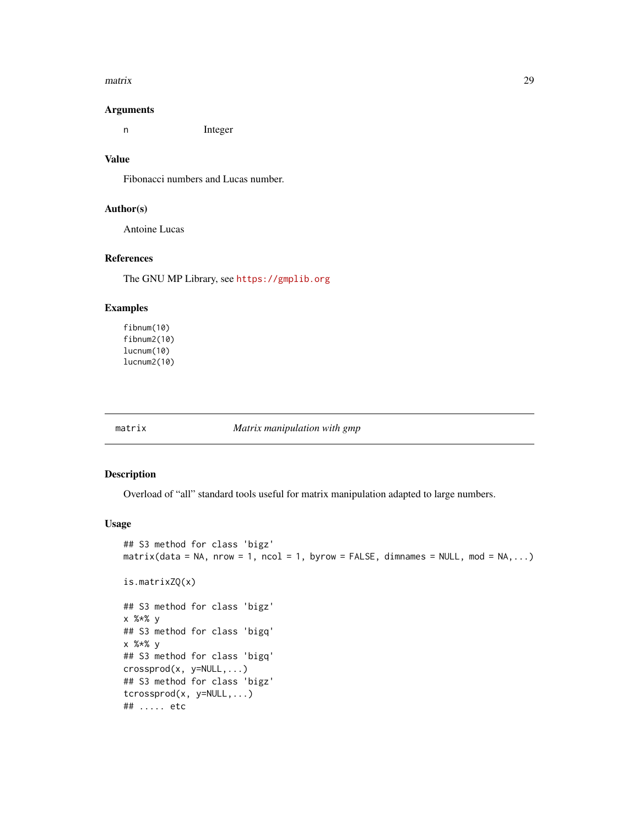#### <span id="page-28-0"></span> $\frac{1}{2}$  matrix 29

#### Arguments

n Integer

#### Value

Fibonacci numbers and Lucas number.

#### Author(s)

Antoine Lucas

# References

The GNU MP Library, see <https://gmplib.org>

#### Examples

fibnum(10) fibnum2(10) lucnum(10) lucnum2(10)

<span id="page-28-2"></span>

#### matrix *Matrix manipulation with gmp*

# <span id="page-28-1"></span>Description

Overload of "all" standard tools useful for matrix manipulation adapted to large numbers.

#### Usage

```
## S3 method for class 'bigz'
matrix(data = NA, nrow = 1, ncol = 1, byrow = FALSE, dimnames = NULL, mod = NA, ...)is.matrixZQ(x)
## S3 method for class 'bigz'
x %*% y
## S3 method for class 'bigq'
x %*% y
## S3 method for class 'bigq'
crossprod(x, y=NULL,...)
## S3 method for class 'bigz'
tcrossprod(x, y=NULL,...)
## ..... etc
```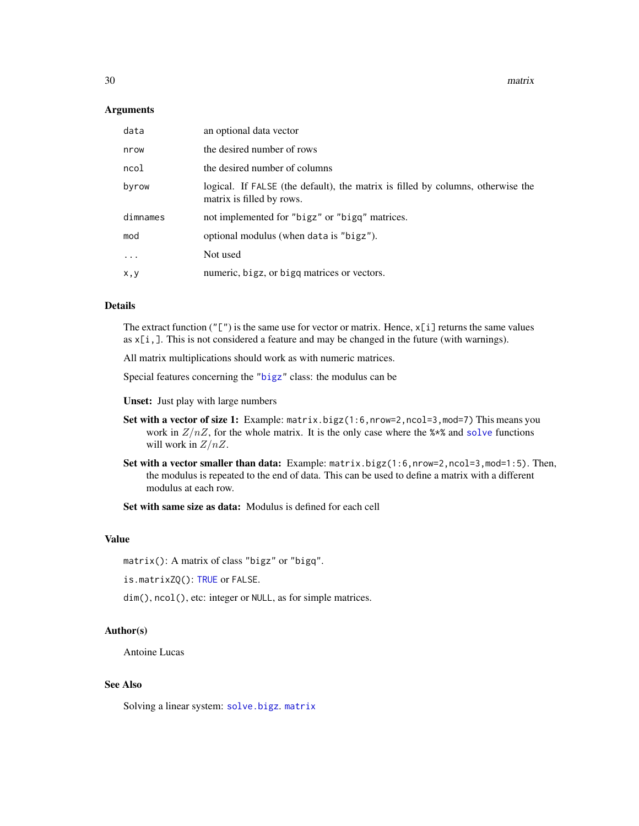<span id="page-29-0"></span>30 matrix

#### **Arguments**

| data     | an optional data vector                                                                                      |
|----------|--------------------------------------------------------------------------------------------------------------|
| nrow     | the desired number of rows                                                                                   |
| ncol     | the desired number of columns                                                                                |
| byrow    | logical. If FALSE (the default), the matrix is filled by columns, otherwise the<br>matrix is filled by rows. |
| dimnames | not implemented for "bigz" or "bigq" matrices.                                                               |
| mod      | optional modulus (when data is "bigz").                                                                      |
| $\ddots$ | Not used                                                                                                     |
| x, y     | numeric, bigz, or bigg matrices or vectors.                                                                  |

# Details

The extract function ( $"$ [") is the same use for vector or matrix. Hence,  $x[i]$  returns the same values as  $x[i,]$ . This is not considered a feature and may be changed in the future (with warnings).

All matrix multiplications should work as with numeric matrices.

Special features concerning the ["bigz"](#page-8-1) class: the modulus can be

Unset: Just play with large numbers

- Set with a vector of size 1: Example: matrix.bigz(1:6,nrow=2,ncol=3,mod=7) This means you work in  $Z/nZ$ , for the whole matrix. It is the only case where the  $\alpha \star \alpha$  and [solve](#page-0-0) functions will work in  $Z/nZ$ .
- Set with a vector smaller than data: Example: matrix.bigz(1:6,nrow=2,ncol=3,mod=1:5). Then, the modulus is repeated to the end of data. This can be used to define a matrix with a different modulus at each row.

Set with same size as data: Modulus is defined for each cell

# Value

matrix(): A matrix of class "bigz" or "bigq".

is.matrixZQ(): [TRUE](#page-0-0) or FALSE.

dim(), ncol(), etc: integer or NULL, as for simple matrices.

# Author(s)

Antoine Lucas

#### See Also

Solving a linear system: [solve.bigz](#page-38-1). [matrix](#page-28-2)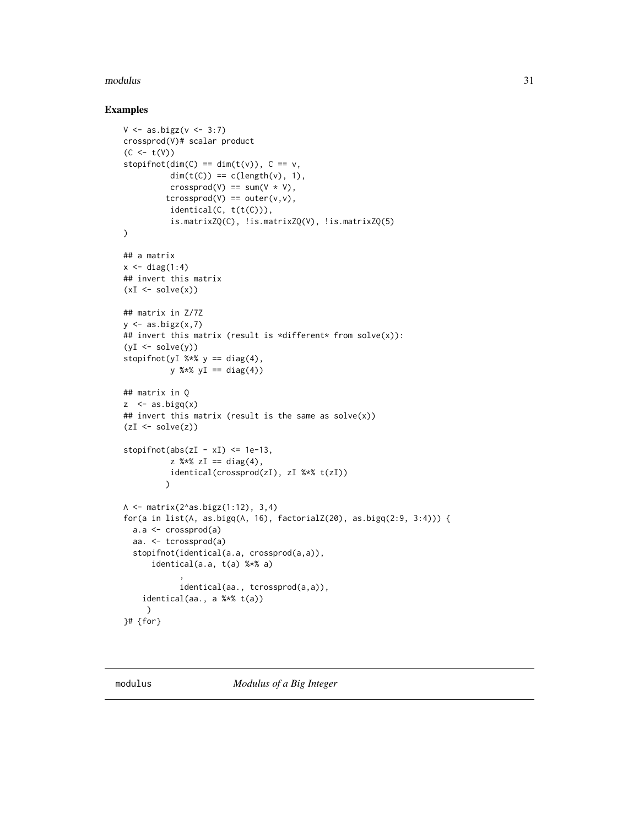#### <span id="page-30-0"></span>modulus 31

# Examples

```
V \leftarrow as.bigz(v \leftarrow 3:7)crossprod(V)# scalar product
(C < - t(V))stopifnot(dim(C) == dim(t(v)), C = v,
          dim(t(C)) == c(length(v), 1),crossprod(V) == sum(V * V),
         tcrossprod(V) == outer(v, v),
          identical(C, t(t(C))),
          is.matrixZQ(C), !is.matrixZQ(V), !is.matrixZQ(5)
\lambda## a matrix
x \leftarrow diag(1:4)## invert this matrix
(xI \leftarrow solve(x))## matrix in Z/7Z
y \leftarrow as.bigz(x,7)## invert this matrix (result is *different* from solve(x)):
(yI \leftarrow solve(y))stopifnot(yI %*% y == diag(4),
          y %*% yI == diag(4))
## matrix in Q
z \leq - as.bigq(x)
## invert this matrix (result is the same as solve(x))(zI \leftarrow solve(z))stopifnot(abs(zI - xI) \leq 1e-13,z %*% zI == diag(4),
          identical(crossprod(zI), zI %*% t(zI))
         )
A <- matrix(2^as.bigz(1:12), 3,4)
for(a in list(A, as.bigq(A, 16), factorialZ(20), as.bigq(2:9, 3:4))) {
 a.a <- crossprod(a)
  aa. <- tcrossprod(a)
  stopifnot(identical(a.a, crossprod(a,a)),
      identical(a.a, t(a) %*% a)
             ,
             identical(aa., tcrossprod(a,a)),
    identical(aa., a %*% t(a))
     )
}# {for}
```
<span id="page-30-1"></span>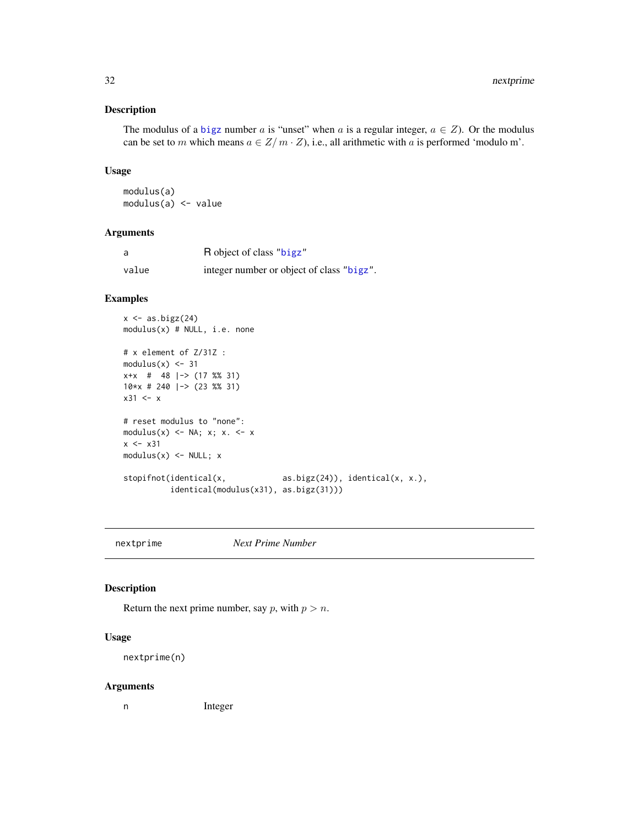# <span id="page-31-0"></span>Description

The modulus of a [bigz](#page-8-1) number a is "unset" when a is a regular integer,  $a \in Z$ ). Or the modulus can be set to m which means  $a \in \mathbb{Z}/m \cdot \mathbb{Z}$ , i.e., all arithmetic with a is performed 'modulo m'.

# Usage

modulus(a) modulus(a) <- value

# Arguments

| a     | R object of class "bigz"                  |
|-------|-------------------------------------------|
| value | integer number or object of class "bigz". |

# Examples

```
x \leftarrow as.bigz(24)modulus(x) # NULL, i.e. none
# x element of Z/31Z :
modulus(x) < -31x+x # 48 |-> (17 %% 31)
10*x # 240 |-> (23 %% 31)
x31 \leftarrow x# reset modulus to "none":
modulus(x) \leftarrow NA; x; x. \leftarrow xx \le -x31modulus(x) \leftarrow NULL; xstopifnot(identical(x, \qquad \qquad \text{as.bigz(24))}, \text{identical}(x, x.),identical(modulus(x31), as.bigz(31)))
```
<span id="page-31-1"></span>nextprime *Next Prime Number*

#### Description

Return the next prime number, say p, with  $p > n$ .

# Usage

nextprime(n)

#### Arguments

n Integer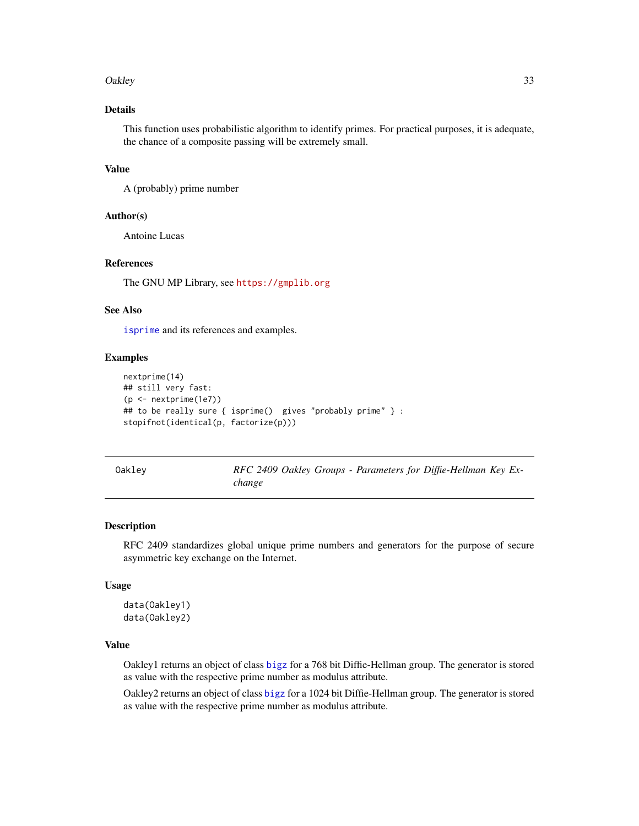#### <span id="page-32-0"></span>Oakley 33

# Details

This function uses probabilistic algorithm to identify primes. For practical purposes, it is adequate, the chance of a composite passing will be extremely small.

#### Value

A (probably) prime number

#### Author(s)

Antoine Lucas

# References

The GNU MP Library, see <https://gmplib.org>

#### See Also

[isprime](#page-26-1) and its references and examples.

#### Examples

```
nextprime(14)
## still very fast:
(p <- nextprime(1e7))
## to be really sure { isprime() gives "probably prime" } :
stopifnot(identical(p, factorize(p)))
```

| Oakley |  |  |  |
|--------|--|--|--|
|        |  |  |  |

RFC 2409 Oakley Groups - Parameters for Diffie-Hellman Key Ex*change*

#### Description

RFC 2409 standardizes global unique prime numbers and generators for the purpose of secure asymmetric key exchange on the Internet.

#### Usage

data(Oakley1) data(Oakley2)

# Value

Oakley1 returns an object of class [bigz](#page-8-1) for a 768 bit Diffie-Hellman group. The generator is stored as value with the respective prime number as modulus attribute.

Oakley2 returns an object of class [bigz](#page-8-1) for a 1024 bit Diffie-Hellman group. The generator is stored as value with the respective prime number as modulus attribute.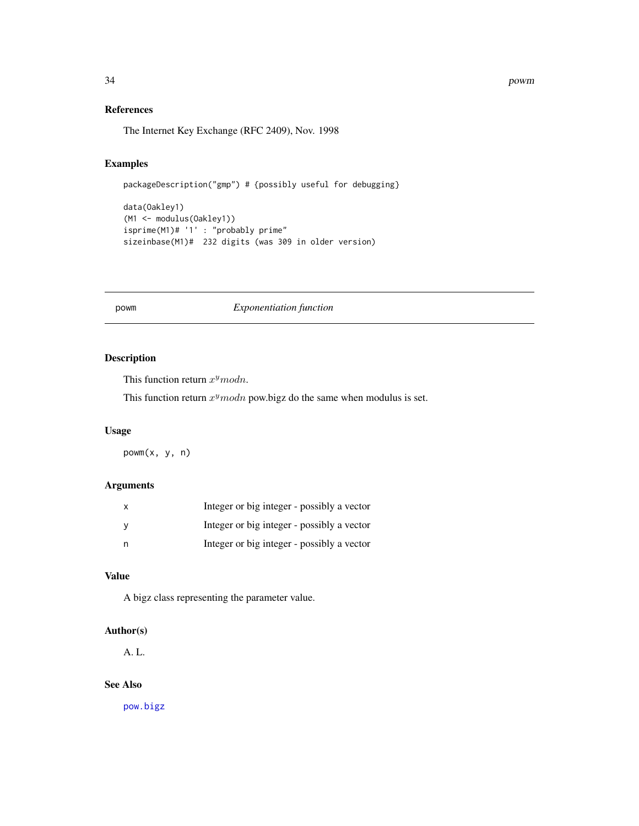<span id="page-33-0"></span>34 powm

# References

The Internet Key Exchange (RFC 2409), Nov. 1998

# Examples

packageDescription("gmp") # {possibly useful for debugging}

```
data(Oakley1)
(M1 <- modulus(Oakley1))
isprime(M1)# '1' : "probably prime"
sizeinbase(M1)# 232 digits (was 309 in older version)
```
#### powm *Exponentiation function*

# Description

This function return  $x^ymodn$ .

This function return  $x^ymodn$  pow.bigz do the same when modulus is set.

# Usage

powm(x, y, n)

# Arguments

| Integer or big integer - possibly a vector |
|--------------------------------------------|
| Integer or big integer - possibly a vector |
| Integer or big integer - possibly a vector |

# Value

A bigz class representing the parameter value.

# Author(s)

A. L.

# See Also

[pow.bigz](#page-11-1)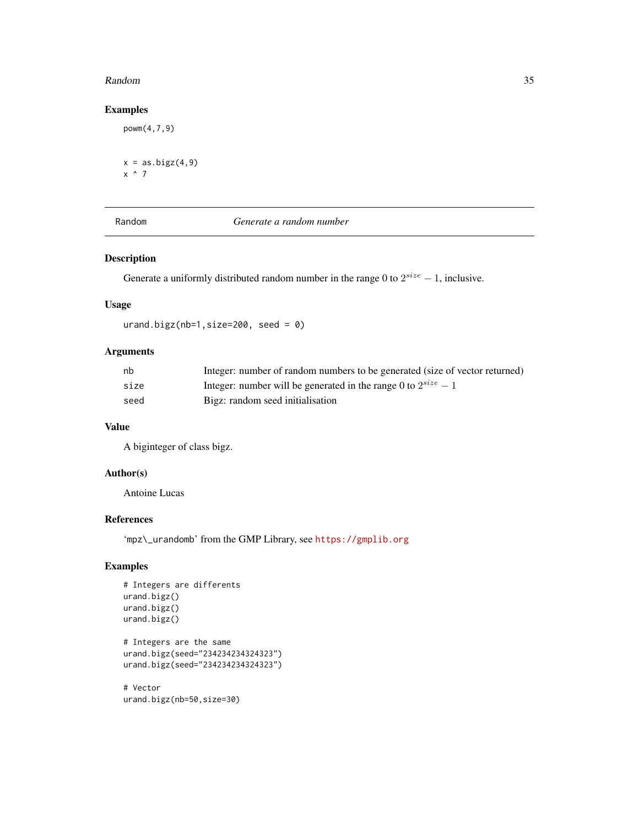#### <span id="page-34-0"></span>Random 35

# Examples

```
powm(4,7,9)
x = as.bigz(4,9)x^{\prime} 7
```
Random *Generate a random number*

# Description

Generate a uniformly distributed random number in the range 0 to  $2^{size} - 1$ , inclusive.

# Usage

urand.bigz(nb=1,size=200, seed = 0)

# Arguments

| nb   | Integer: number of random numbers to be generated (size of vector returned) |
|------|-----------------------------------------------------------------------------|
| size | Integer: number will be generated in the range 0 to $2^{size} - 1$          |
| seed | Bigz: random seed initialisation                                            |

## Value

A biginteger of class bigz.

# Author(s)

Antoine Lucas

#### References

'mpz\\_urandomb' from the GMP Library, see <https://gmplib.org>

# Examples

```
# Integers are differents
urand.bigz()
urand.bigz()
urand.bigz()
# Integers are the same
urand.bigz(seed="234234234324323")
urand.bigz(seed="234234234324323")
# Vector
```
urand.bigz(nb=50,size=30)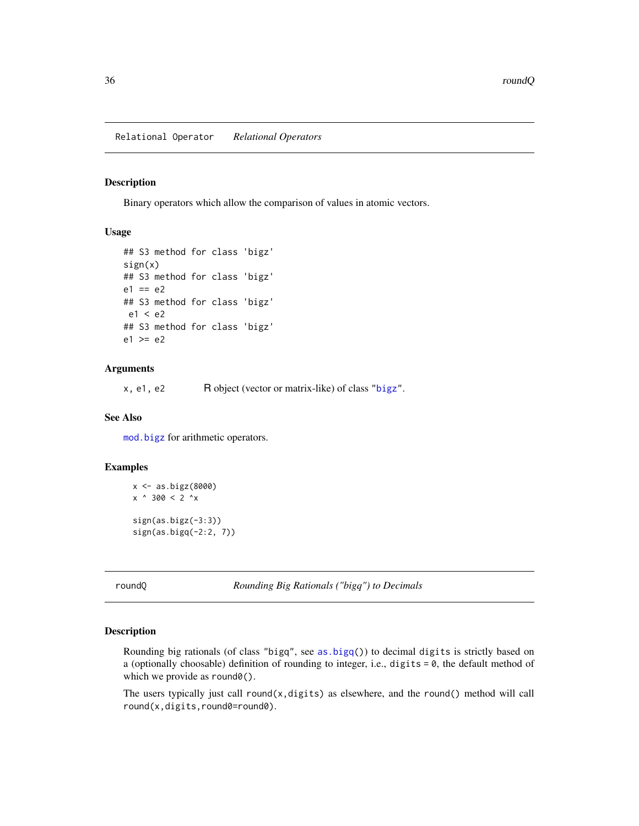<span id="page-35-0"></span>Relational Operator *Relational Operators*

# Description

Binary operators which allow the comparison of values in atomic vectors.

#### Usage

```
## S3 method for class 'bigz'
sign(x)
## S3 method for class 'bigz'
e1 == e2## S3 method for class 'bigz'
e1 < e2
## S3 method for class 'bigz'
e1 \geq e2
```
#### Arguments

x, e1, e2 R object (vector or matrix-like) of class ["bigz"](#page-8-1).

#### See Also

[mod.bigz](#page-11-1) for arithmetic operators.

# Examples

```
x <- as.bigz(8000)
x ^ 300 < 2 ^x
sign(as.bigz(-3:3))
sign(as.bigq(-2:2, 7))
```
roundQ *Rounding Big Rationals ("bigq") to Decimals*

### Description

Rounding big rationals (of class "bigq", see [as.bigq\(](#page-5-1))) to decimal digits is strictly based on a (optionally choosable) definition of rounding to integer, i.e., digits = 0, the default method of which we provide as round0().

The users typically just call  $round(x, digits)$  as elsewhere, and the round() method will call round(x,digits,round0=round0).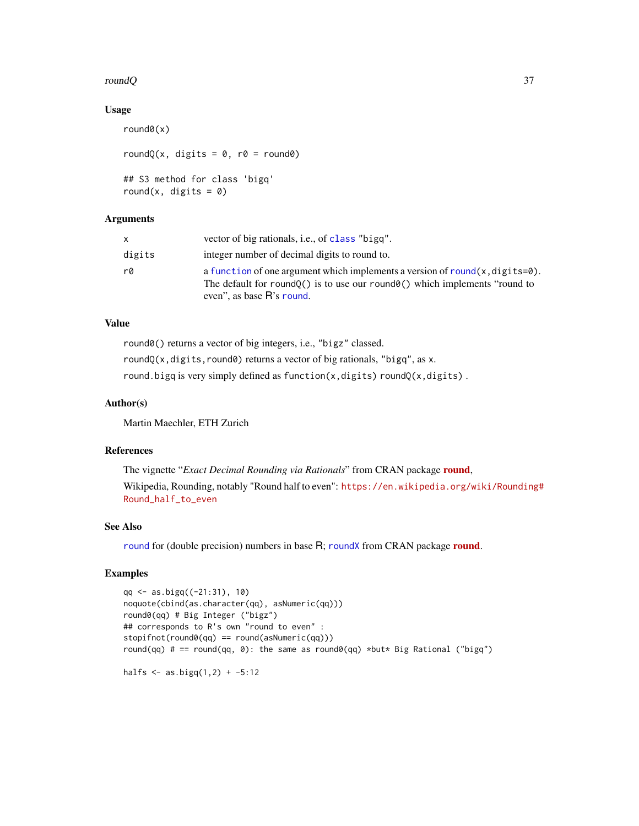#### <span id="page-36-0"></span> $r$ ound $Q$  37

#### Usage

```
round0(x)
roundQ(x, digits = 0, r0 = round0)
## S3 method for class 'bigq'
round(x, digits = \theta)
```
# Arguments

| x.     | vector of big rationals, <i>i.e.</i> , of class "bigg".                                                                                                                                                  |
|--------|----------------------------------------------------------------------------------------------------------------------------------------------------------------------------------------------------------|
| digits | integer number of decimal digits to round to.                                                                                                                                                            |
| r0     | a function of one argument which implements a version of round $(x, \text{digits=0})$ .<br>The default for round $Q()$ is to use our round $Q()$ which implements "round to<br>even", as base R's round. |

# Value

round0() returns a vector of big integers, i.e., "bigz" classed.

roundQ(x,digits, round0) returns a vector of big rationals, "bigq", as x.

round.bigq is very simply defined as function(x,digits) roundQ(x,digits).

#### Author(s)

Martin Maechler, ETH Zurich

# References

The vignette "*Exact Decimal Rounding via Rationals*" from CRAN package [round](https://CRAN.R-project.org/package=round), Wikipedia, Rounding, notably "Round half to even": [https://en.wikipedia.org/wiki/Rounding](https://en.wikipedia.org/wiki/Rounding#Round_half_to_even)# [Round\\_half\\_to\\_even](https://en.wikipedia.org/wiki/Rounding#Round_half_to_even)

#### See Also

[round](https://CRAN.R-project.org/package=round) for (double precision) numbers in base R; [roundX](#page-0-0) from CRAN package round.

# Examples

```
qq <- as.bigq((-21:31), 10)
noquote(cbind(as.character(qq), asNumeric(qq)))
round0(qq) # Big Integer ("bigz")
## corresponds to R's own "round to even" :
stopifnot(round0(qq) == round(asNumeric(qq)))
round(qq) # == round(qq, 0): the same as round0(qq) *but* Big Rational ("bigq")
```

```
halfs \leq - as.bigq(1,2) + -5:12
```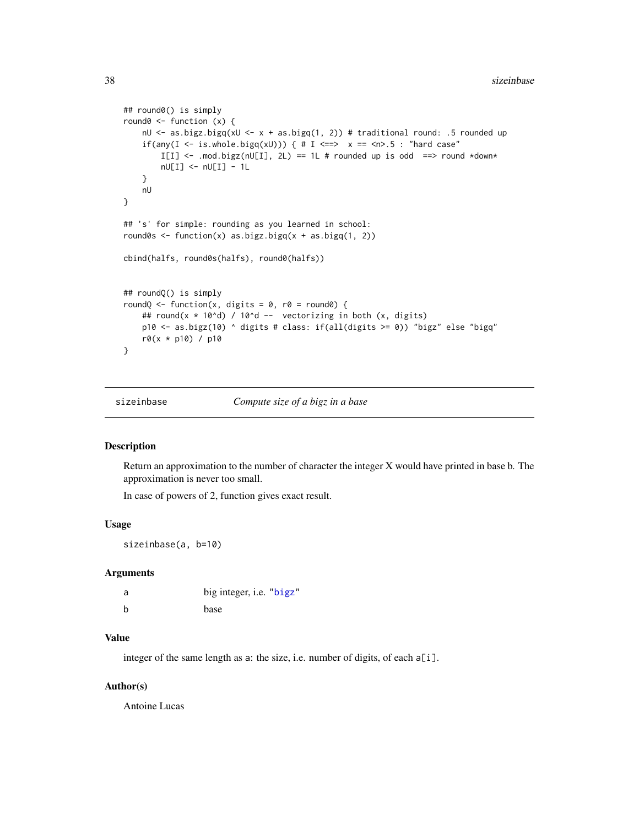```
## round0() is simply
round0 <- function (x) {
   nU <- as.bigz.bigq(xU <- x + as.bigq(1, 2)) # traditional round: .5 rounded up
   if(any(I <- is.whole.bigq(xU))) { # I <==> x ==<n>.5 : "hard case"
       I[I] \leftarrow .mod.bigz(nU[I], 2L) == 1L # rounded up is odd ==> round *down*
       nU[I] <- nU[I] - 1L
    }
   nU
}
## 's' for simple: rounding as you learned in school:
round0s <- function(x) as.bigz.bigq(x + as.bigq(1, 2))
cbind(halfs, round0s(halfs), round0(halfs))
## roundQ() is simply
roundQ <- function(x, digits = 0, r0 = round0) {
   ## round(x * 10^d) / 10^d -- vectorizing in both (x, digits)
   p10 <- as.bigz(10) ^ digits # class: if(all(digits >= 0)) "bigz" else "bigq"
   r0(x * p10) / p10
}
```
sizeinbase *Compute size of a bigz in a base*

#### Description

Return an approximation to the number of character the integer X would have printed in base b. The approximation is never too small.

In case of powers of 2, function gives exact result.

#### Usage

sizeinbase(a, b=10)

#### **Arguments**

| a | big integer, i.e. "bigz" |
|---|--------------------------|
| b | base                     |

#### Value

integer of the same length as a: the size, i.e. number of digits, of each a[i].

#### Author(s)

Antoine Lucas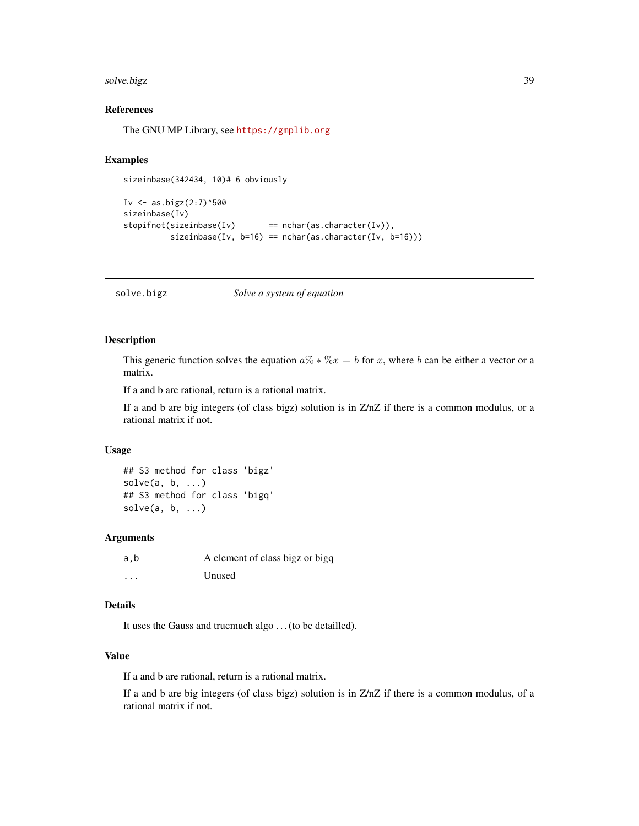#### <span id="page-38-0"></span>solve.bigz 39

# References

The GNU MP Library, see <https://gmplib.org>

# Examples

sizeinbase(342434, 10)# 6 obviously

```
Iv \leftarrow as.bigz(2:7)^500
sizeinbase(Iv)
stopifnot(sizeinbase(Iv) == nchar(as.character(Iv)),
          sizeinbase(Iv, b=16) == nchar(as.character(Iv, b=16)))
```
<span id="page-38-1"></span>solve.bigz *Solve a system of equation*

# Description

This generic function solves the equation  $a\% * \%x = b$  for x, where b can be either a vector or a matrix.

If a and b are rational, return is a rational matrix.

If a and b are big integers (of class bigz) solution is in Z/nZ if there is a common modulus, or a rational matrix if not.

# Usage

## S3 method for class 'bigz'  $solve(a, b, ...)$ ## S3 method for class 'bigq'  $solve(a, b, \ldots)$ 

#### Arguments

| a,b      | A element of class bigz or bigq |
|----------|---------------------------------|
| $\cdots$ | Unused                          |

#### Details

It uses the Gauss and trucmuch algo . . . (to be detailled).

# Value

If a and b are rational, return is a rational matrix.

If a and b are big integers (of class bigz) solution is in Z/nZ if there is a common modulus, of a rational matrix if not.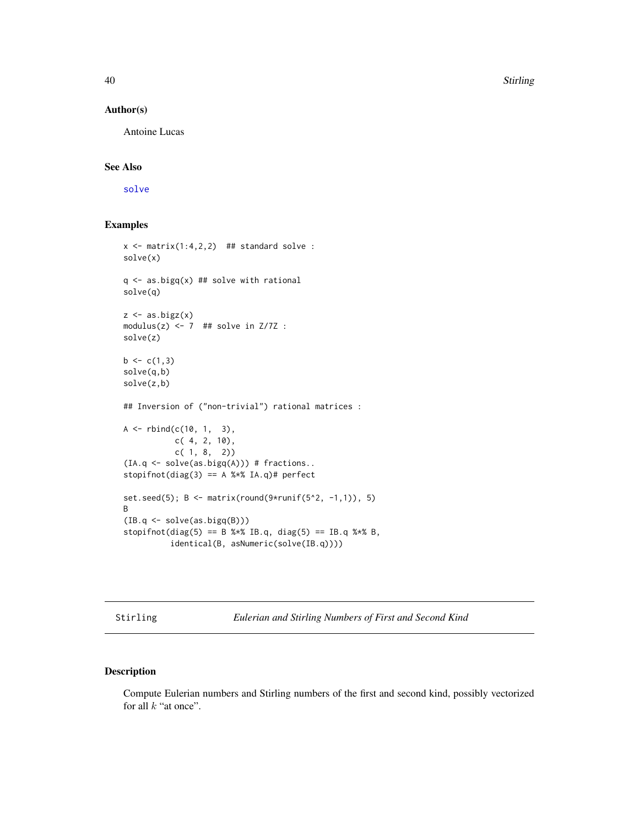40 Stirling Section 2014 12:00 Stirling Stirling Stirling Stirling Stirling Stirling Stirling

#### Author(s)

Antoine Lucas

# See Also

[solve](#page-0-0)

# Examples

```
x \le - matrix(1:4,2,2) ## standard solve :
solve(x)
q \leftarrow as.bigq(x) ## solve with rational
solve(q)
z \leftarrow as.bigz(x)modulus(z) <-7 ## solve in Z/7Z :
solve(z)
b \leftarrow c(1,3)solve(q,b)
solve(z,b)
## Inversion of ("non-trivial") rational matrices :
A \leq -rbind(c(10, 1, 3)),c( 4, 2, 10),
            c( 1, 8, 2))
(IA.q \leftarrow solve(as.bigq(A))) # fractions..
stopifnot(diag(3) == A %*% IA.q)# perfect
set.seed(5); B \leq -\text{matrix}(\text{round}(9 \times \text{runif}(5 \cdot 2, -1, 1)), 5)B
(IB.q < - solve(as.bigq(B)))stopifnot(diag(5) == B %*% IB.q, diag(5) == IB.q %*% B,
           identical(B, asNumeric(solve(IB.q))))
```
Stirling *Eulerian and Stirling Numbers of First and Second Kind*

### Description

Compute Eulerian numbers and Stirling numbers of the first and second kind, possibly vectorized for all  $k$  "at once".

<span id="page-39-0"></span>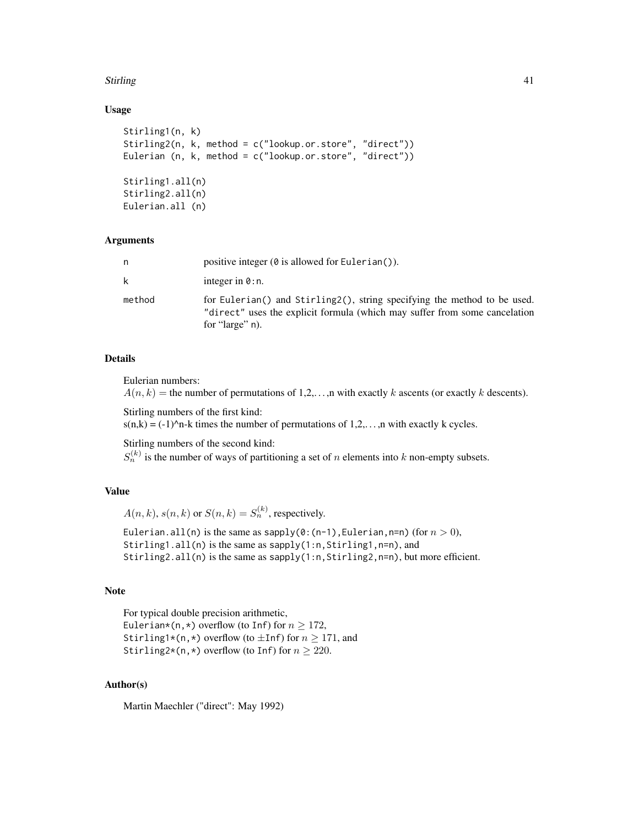#### Stirling 41

### Usage

```
Stirling1(n, k)
Stirling2(n, k, method = c("lookup.or.store", "direct"))
Eulerian (n, k, method = c("lookup.or.store", "direct"))
Stirling1.all(n)
Stirling2.all(n)
Eulerian.all (n)
```
# Arguments

| n      | positive integer $(\emptyset$ is allowed for Eulerian().                                                                                                                  |
|--------|---------------------------------------------------------------------------------------------------------------------------------------------------------------------------|
| k      | integer in $\theta$ : n.                                                                                                                                                  |
| method | for Eulerian() and Stirling2(), string specifying the method to be used.<br>"direct" uses the explicit formula (which may suffer from some cancelation<br>for "large" n). |

# Details

Eulerian numbers:

 $A(n, k)$  = the number of permutations of 1,2,..., n with exactly k ascents (or exactly k descents).

Stirling numbers of the first kind:

 $s(n,k) = (-1)^n$ -k times the number of permutations of 1,2,..., n with exactly k cycles.

Stirling numbers of the second kind:

 $S_n^{(k)}$  is the number of ways of partitioning a set of n elements into k non-empty subsets.

# Value

 $A(n, k), s(n, k)$  or  $S(n, k) = S_n^{(k)}$ , respectively.

Eulerian.all(n) is the same as sapply(0:(n-1), Eulerian, n=n) (for  $n > 0$ ), Stirling1.all(n) is the same as sapply(1:n, Stirling1, n=n), and Stirling2.all(n) is the same as sapply(1:n, Stirling2, n=n), but more efficient.

# Note

```
For typical double precision arithmetic,
Eulerian*(n,*) overflow (to Inf) for n \ge 172,
Stirling1*(n,*) overflow (to \pmInf) for n > 171, and
Stirling2*(n,*) overflow (to Inf) for n \ge 220.
```
# Author(s)

Martin Maechler ("direct": May 1992)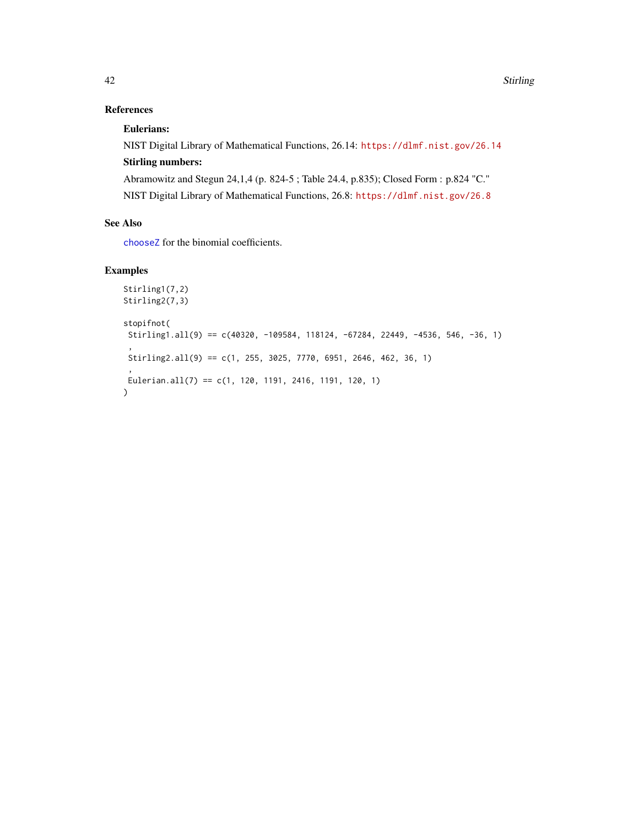# <span id="page-41-0"></span>References

# Eulerians:

NIST Digital Library of Mathematical Functions, 26.14: <https://dlmf.nist.gov/26.14> Stirling numbers: Abramowitz and Stegun 24,1,4 (p. 824-5 ; Table 24.4, p.835); Closed Form : p.824 "C."

NIST Digital Library of Mathematical Functions, 26.8: <https://dlmf.nist.gov/26.8>

# See Also

[chooseZ](#page-18-1) for the binomial coefficients.

# Examples

```
Stirling1(7,2)
Stirling2(7,3)
stopifnot(
 Stirling1.all(9) == c(40320, -109584, 118124, -67284, 22449, -4536, 546, -36, 1)
 ,
 Stirling2.all(9) == c(1, 255, 3025, 7770, 6951, 2646, 462, 36, 1)
 ,
Eulerian.all(7) == c(1, 120, 1191, 2416, 1191, 120, 1))
```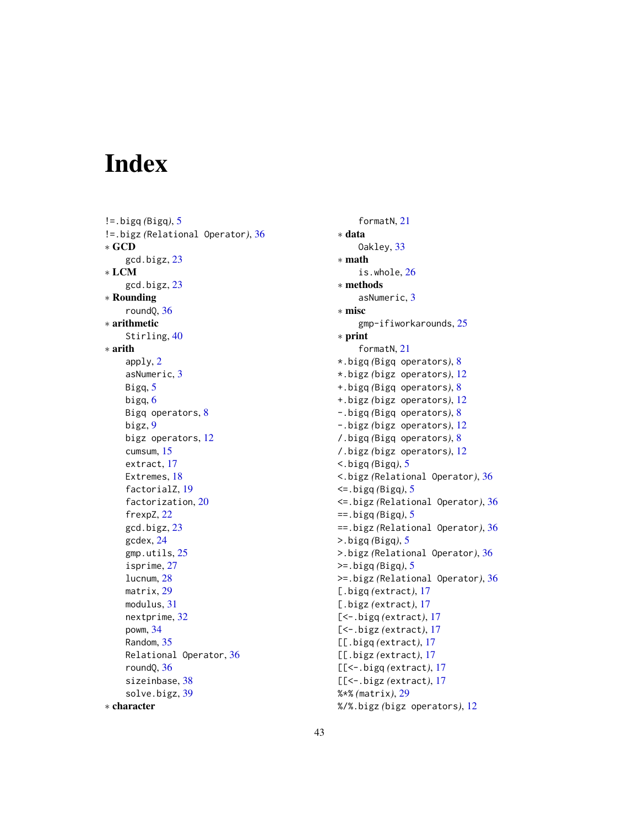# <span id="page-42-0"></span>Index

!=.bigq *(*Bigq*)*, [5](#page-4-0) !=.bigz *(*Relational Operator*)*, [36](#page-35-0) ∗ GCD gcd.bigz, [23](#page-22-0) ∗ LCM gcd.bigz, [23](#page-22-0) ∗ Rounding roundQ, [36](#page-35-0) ∗ arithmetic Stirling, [40](#page-39-0) ∗ arith apply, [2](#page-1-0) asNumeric, [3](#page-2-0) Bigq, [5](#page-4-0) bigq, [6](#page-5-0) Bigq operators, [8](#page-7-0) bigz, [9](#page-8-0) bigz operators, [12](#page-11-0) cumsum, [15](#page-14-0) extract, [17](#page-16-0) Extremes, [18](#page-17-0) factorialZ, [19](#page-18-0) factorization, [20](#page-19-0) frexpZ, [22](#page-21-0) gcd.bigz, [23](#page-22-0) gcdex, [24](#page-23-0) gmp.utils, [25](#page-24-0) isprime, [27](#page-26-0) lucnum, [28](#page-27-0) matrix, [29](#page-28-0) modulus, [31](#page-30-0) nextprime, [32](#page-31-0) powm, [34](#page-33-0) Random, [35](#page-34-0) Relational Operator, [36](#page-35-0) roundQ, [36](#page-35-0) sizeinbase, [38](#page-37-0) solve.bigz, [39](#page-38-0) ∗ character

formatN, [21](#page-20-0) ∗ data Oakley, [33](#page-32-0) ∗ math is.whole, [26](#page-25-0) ∗ methods asNumeric, [3](#page-2-0) ∗ misc gmp-ifiworkarounds, [25](#page-24-0) ∗ print formatN, [21](#page-20-0) \*.bigq *(*Bigq operators*)*, [8](#page-7-0) \*.bigz *(*bigz operators*)*, [12](#page-11-0) +.bigq *(*Bigq operators*)*, [8](#page-7-0) +.bigz *(*bigz operators*)*, [12](#page-11-0) -.bigq *(*Bigq operators*)*, [8](#page-7-0) -.bigz *(*bigz operators*)*, [12](#page-11-0) /.bigq *(*Bigq operators*)*, [8](#page-7-0) /.bigz *(*bigz operators*)*, [12](#page-11-0) <.bigq *(*Bigq*)*, [5](#page-4-0) <.bigz *(*Relational Operator*)*, [36](#page-35-0) <=.bigq *(*Bigq*)*, [5](#page-4-0) <=.bigz *(*Relational Operator*)*, [36](#page-35-0) ==.bigq *(*Bigq*)*, [5](#page-4-0) ==.bigz *(*Relational Operator*)*, [36](#page-35-0) >.bigq *(*Bigq*)*, [5](#page-4-0) >.bigz *(*Relational Operator*)*, [36](#page-35-0) >=.bigq *(*Bigq*)*, [5](#page-4-0) >=.bigz *(*Relational Operator*)*, [36](#page-35-0) [.bigq *(*extract*)*, [17](#page-16-0) [.bigz *(*extract*)*, [17](#page-16-0) [<-.bigq *(*extract*)*, [17](#page-16-0) [<-.bigz *(*extract*)*, [17](#page-16-0) [[.bigq *(*extract*)*, [17](#page-16-0) [[.bigz *(*extract*)*, [17](#page-16-0) [[<-.bigq *(*extract*)*, [17](#page-16-0) [[<-.bigz *(*extract*)*, [17](#page-16-0) %\*% *(*matrix*)*, [29](#page-28-0) %/%.bigz *(*bigz operators*)*, [12](#page-11-0)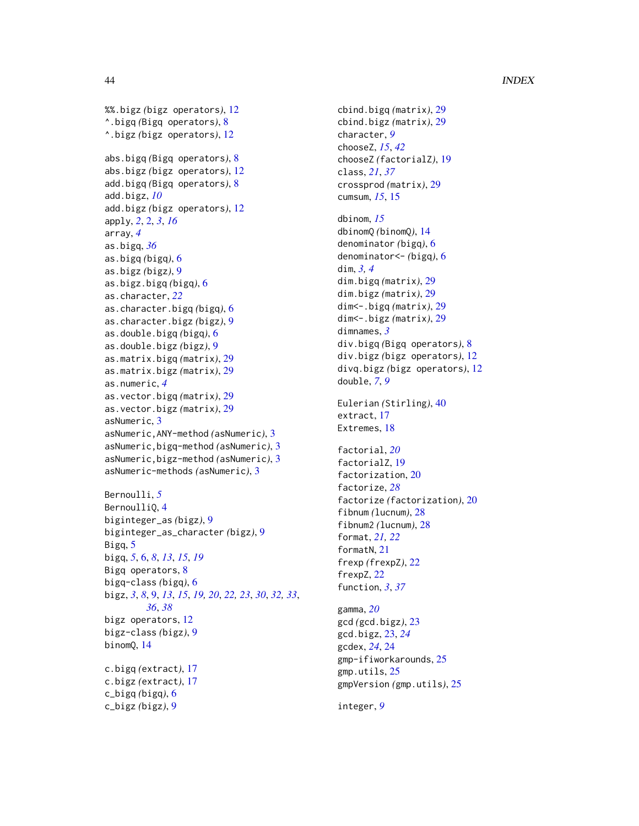### 44 INDEX

```
%%.bigz (bigz operators), 12
^.bigq (Bigq operators), 8
^.bigz (bigz operators), 12
abs.bigq (Bigq operators), 8
abs.bigz (bigz operators), 12
add.bigq (Bigq operators), 8
add.bigz, 10
add.bigz (bigz operators), 12
apply, 2, 2, 3, 16
array, 4
as.bigq, 36
as.bigq (bigq), 6
as.bigz (bigz), 9
as.bigz.bigq (bigq), 6
as.character, 22
as.character.bigq (bigq), 6
as.character.bigz (bigz), 9
as.double.bigq (bigq), 6
as.double.bigz (bigz), 9
as.matrix.bigq (matrix), 29
as.matrix.bigz (matrix), 29
as.numeric, 4
as.vector.bigq (matrix), 29
as.vector.bigz (matrix), 29
asNumeric, 3
asNumeric,ANY-method (asNumeric), 3
asNumeric,bigq-method (asNumeric), 3
asNumeric,bigz-method (asNumeric), 3
asNumeric-methods (asNumeric), 3
Bernoulli, 5
BernoulliQ, 4
biginteger_as (bigz), 9
biginteger_as_character (bigz), 9
Bigq, 5
bigq, 5, 6, 8, 13, 15, 19
Bigq operators, 8
bigq-class (bigq), 6
bigz, 3, 8, 9, 13, 15, 19, 20, 22, 23, 30, 32, 33,
        36, 38
bigz operators, 12
bigz-class (bigz), 9
binomQ, 14
c.bigq (extract), 17
c.bigz (extract), 17
c_bigq (bigq), 6
c_bigz (bigz), 9
```

```
cbind.bigq (matrix), 29
cbind.bigz (matrix), 29
character, 9
chooseZ, 15, 42
chooseZ (factorialZ), 19
class, 21, 37
crossprod (matrix), 29
cumsum, 15, 15
dbinom, 15
dbinomQ (binomQ), 14
denominator (bigq), 6
denominator<- (bigq), 6
dim, 3, 4
dim.bigq (matrix), 29
dim.bigz (matrix), 29
dim<-.bigq (matrix), 29
dim<-.bigz (matrix), 29
dimnames, 3
div.bigq (Bigq operators), 8
div.bigz (bigz operators), 12
divq.bigz (bigz operators), 12
double, 7, 9
Eulerian (Stirling), 40
extract, 17
Extremes, 18
factorial, 20
factorialZ, 19
factorization, 20
factorize, 28
factorize (factorization), 20
fibnum (lucnum), 28
fibnum2 (lucnum), 28
format, 21, 22
formatN, 21
frexp (frexpZ), 22
frexpZ, 22
function, 3, 37
gamma, 20
gcd (gcd.bigz), 23
gcd.bigz, 23, 24
gcdex, 24, 24
gmp-ifiworkarounds, 25
gmp.utils, 25
gmpVersion (gmp.utils), 25
integer, 9
```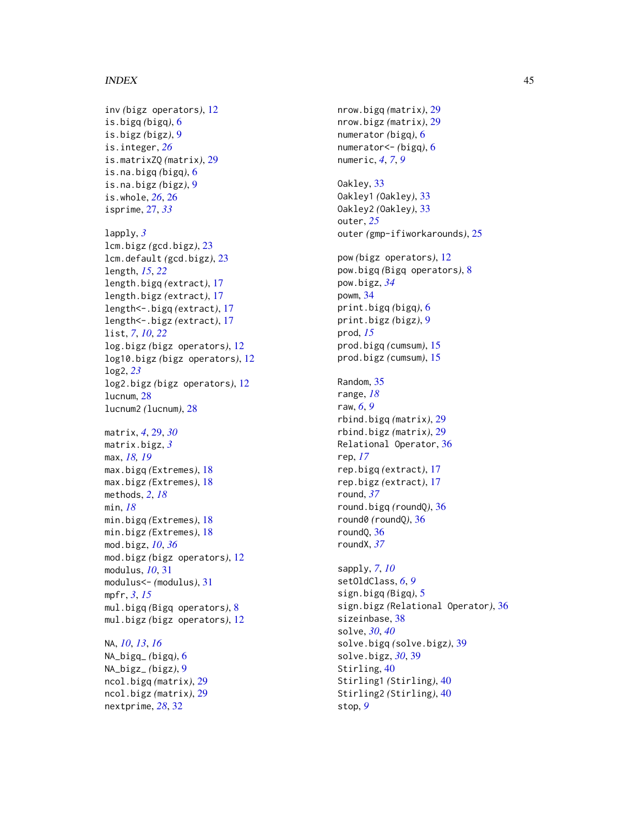#### INDEX 45

inv *(*bigz operators*)*, [12](#page-11-0) is.bigq *(*bigq*)*, [6](#page-5-0) is.bigz *(*bigz*)*, [9](#page-8-0) is.integer, *[26](#page-25-0)* is.matrixZQ *(*matrix*)*, [29](#page-28-0) is.na.bigq *(*bigq*)*, [6](#page-5-0) is.na.bigz *(*bigz*)*, [9](#page-8-0) is.whole, *[26](#page-25-0)*, [26](#page-25-0) isprime, [27,](#page-26-0) *[33](#page-32-0)* lapply, *[3](#page-2-0)* lcm.bigz *(*gcd.bigz*)*, [23](#page-22-0) lcm.default *(*gcd.bigz*)*, [23](#page-22-0) length, *[15](#page-14-0)*, *[22](#page-21-0)* length.bigq *(*extract*)*, [17](#page-16-0) length.bigz *(*extract*)*, [17](#page-16-0) length<-.bigq *(*extract*)*, [17](#page-16-0) length<-.bigz *(*extract*)*, [17](#page-16-0) list, *[7](#page-6-0)*, *[10](#page-9-0)*, *[22](#page-21-0)* log.bigz *(*bigz operators*)*, [12](#page-11-0) log10.bigz *(*bigz operators*)*, [12](#page-11-0) log2, *[23](#page-22-0)* log2.bigz *(*bigz operators*)*, [12](#page-11-0) lucnum, [28](#page-27-0) lucnum2 *(*lucnum*)*, [28](#page-27-0) matrix, *[4](#page-3-0)*, [29,](#page-28-0) *[30](#page-29-0)* matrix.bigz, *[3](#page-2-0)* max, *[18,](#page-17-0) [19](#page-18-0)* max.bigq *(*Extremes*)*, [18](#page-17-0) max.bigz *(*Extremes*)*, [18](#page-17-0) methods, *[2](#page-1-0)*, *[18](#page-17-0)* min, *[18](#page-17-0)* min.bigq *(*Extremes*)*, [18](#page-17-0) min.bigz *(*Extremes*)*, [18](#page-17-0) mod.bigz, *[10](#page-9-0)*, *[36](#page-35-0)* mod.bigz *(*bigz operators*)*, [12](#page-11-0) modulus, *[10](#page-9-0)*, [31](#page-30-0) modulus<- *(*modulus*)*, [31](#page-30-0) mpfr, *[3](#page-2-0)*, *[15](#page-14-0)* mul.bigq *(*Bigq operators*)*, [8](#page-7-0) mul.bigz *(*bigz operators*)*, [12](#page-11-0)

NA, *[10](#page-9-0)*, *[13](#page-12-0)*, *[16](#page-15-0)* NA\_bigq\_ *(*bigq*)*, [6](#page-5-0) NA\_bigz\_ *(*bigz*)*, [9](#page-8-0) ncol.bigq *(*matrix*)*, [29](#page-28-0) ncol.bigz *(*matrix*)*, [29](#page-28-0) nextprime, *[28](#page-27-0)*, [32](#page-31-0)

nrow.bigq *(*matrix*)*, [29](#page-28-0) nrow.bigz *(*matrix*)*, [29](#page-28-0) numerator *(*bigq*)*, [6](#page-5-0) numerator<- *(*bigq*)*, [6](#page-5-0) numeric, *[4](#page-3-0)*, *[7](#page-6-0)*, *[9](#page-8-0)* Oakley, [33](#page-32-0) Oakley1 *(*Oakley*)*, [33](#page-32-0) Oakley2 *(*Oakley*)*, [33](#page-32-0) outer, *[25](#page-24-0)* outer *(*gmp-ifiworkarounds*)*, [25](#page-24-0) pow *(*bigz operators*)*, [12](#page-11-0) pow.bigq *(*Bigq operators*)*, [8](#page-7-0) pow.bigz, *[34](#page-33-0)* powm, [34](#page-33-0) print.bigq *(*bigq*)*, [6](#page-5-0) print.bigz *(*bigz*)*, [9](#page-8-0) prod, *[15](#page-14-0)* prod.bigq *(*cumsum*)*, [15](#page-14-0) prod.bigz *(*cumsum*)*, [15](#page-14-0) Random, [35](#page-34-0) range, *[18](#page-17-0)* raw, *[6](#page-5-0)*, *[9](#page-8-0)* rbind.bigq *(*matrix*)*, [29](#page-28-0) rbind.bigz *(*matrix*)*, [29](#page-28-0) Relational Operator, [36](#page-35-0) rep, *[17](#page-16-0)* rep.bigq *(*extract*)*, [17](#page-16-0) rep.bigz *(*extract*)*, [17](#page-16-0) round, *[37](#page-36-0)* round.bigq *(*roundQ*)*, [36](#page-35-0) round0 *(*roundQ*)*, [36](#page-35-0) roundQ, [36](#page-35-0) roundX, *[37](#page-36-0)* sapply, *[7](#page-6-0)*, *[10](#page-9-0)* setOldClass, *[6](#page-5-0)*, *[9](#page-8-0)* sign.bigq *(*Bigq*)*, [5](#page-4-0) sign.bigz *(*Relational Operator*)*, [36](#page-35-0) sizeinbase, [38](#page-37-0) solve, *[30](#page-29-0)*, *[40](#page-39-0)*

solve.bigq *(*solve.bigz*)*, [39](#page-38-0) solve.bigz, *[30](#page-29-0)*, [39](#page-38-0) Stirling, [40](#page-39-0) Stirling1 *(*Stirling*)*, [40](#page-39-0) Stirling2 *(*Stirling*)*, [40](#page-39-0) stop, *[9](#page-8-0)*